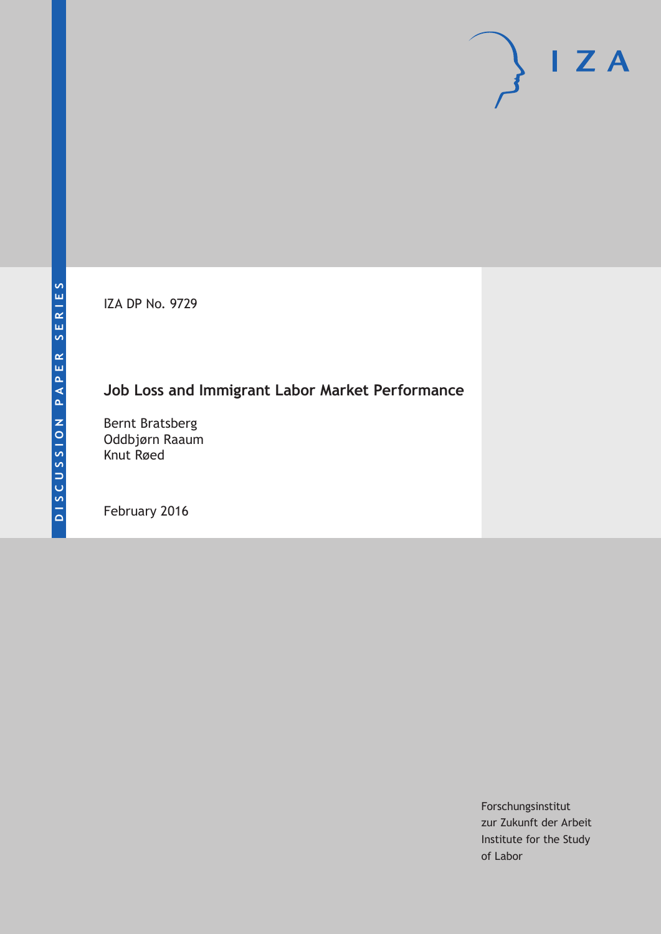IZA DP No. 9729

## **Job Loss and Immigrant Labor Market Performance**

Bernt Bratsberg Oddbjørn Raaum Knut Røed

February 2016

Forschungsinstitut zur Zukunft der Arbeit Institute for the Study of Labor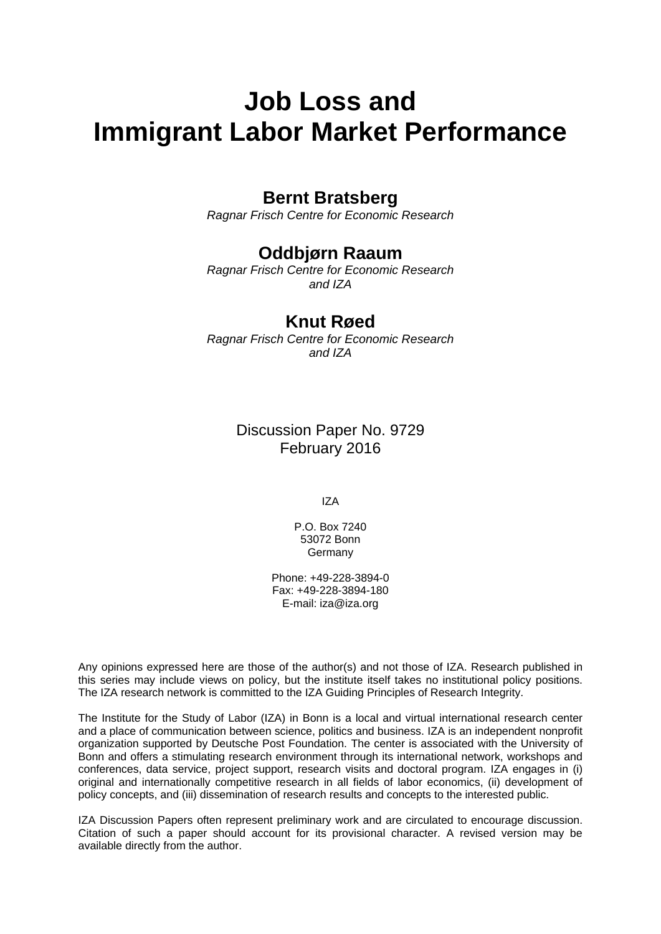# **Job Loss and Immigrant Labor Market Performance**

## **Bernt Bratsberg**

*Ragnar Frisch Centre for Economic Research* 

## **Oddbjørn Raaum**

*Ragnar Frisch Centre for Economic Research and IZA* 

## **Knut Røed**

*Ragnar Frisch Centre for Economic Research and IZA*

> Discussion Paper No. 9729 February 2016

> > IZA

P.O. Box 7240 53072 Bonn **Germany** 

Phone: +49-228-3894-0 Fax: +49-228-3894-180 E-mail: iza@iza.org

Any opinions expressed here are those of the author(s) and not those of IZA. Research published in this series may include views on policy, but the institute itself takes no institutional policy positions. The IZA research network is committed to the IZA Guiding Principles of Research Integrity.

The Institute for the Study of Labor (IZA) in Bonn is a local and virtual international research center and a place of communication between science, politics and business. IZA is an independent nonprofit organization supported by Deutsche Post Foundation. The center is associated with the University of Bonn and offers a stimulating research environment through its international network, workshops and conferences, data service, project support, research visits and doctoral program. IZA engages in (i) original and internationally competitive research in all fields of labor economics, (ii) development of policy concepts, and (iii) dissemination of research results and concepts to the interested public.

IZA Discussion Papers often represent preliminary work and are circulated to encourage discussion. Citation of such a paper should account for its provisional character. A revised version may be available directly from the author.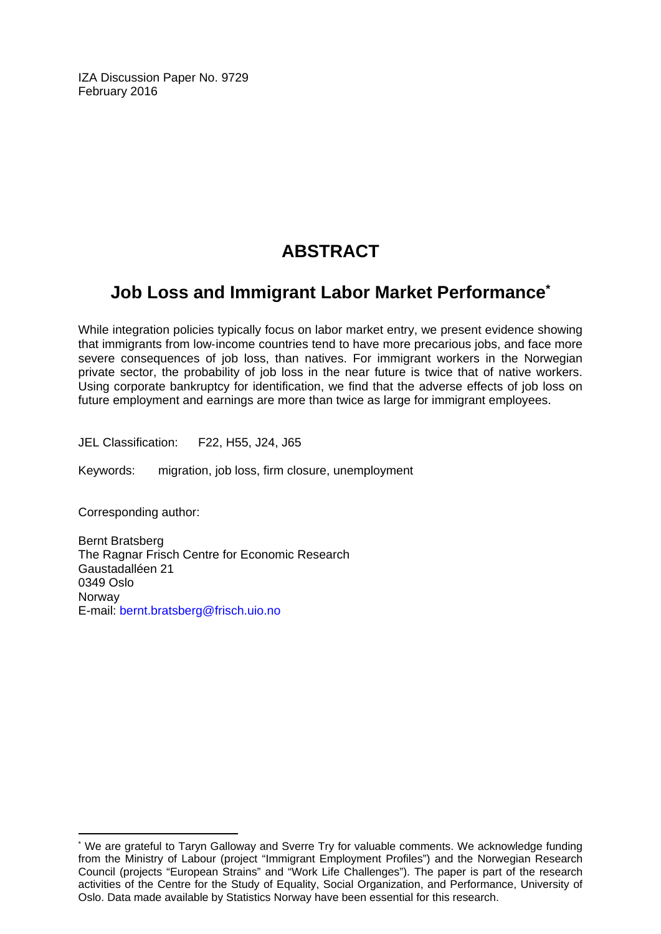IZA Discussion Paper No. 9729 February 2016

## **ABSTRACT**

## **Job Loss and Immigrant Labor Market Performance\***

While integration policies typically focus on labor market entry, we present evidence showing that immigrants from low‐income countries tend to have more precarious jobs, and face more severe consequences of job loss, than natives. For immigrant workers in the Norwegian private sector, the probability of job loss in the near future is twice that of native workers. Using corporate bankruptcy for identification, we find that the adverse effects of job loss on future employment and earnings are more than twice as large for immigrant employees.

JEL Classification: F22, H55, J24, J65

Keywords: migration, job loss, firm closure, unemployment

Corresponding author:

 $\overline{a}$ 

Bernt Bratsberg The Ragnar Frisch Centre for Economic Research Gaustadalléen 21 0349 Oslo Norway E-mail: bernt.bratsberg@frisch.uio.no

<sup>\*</sup> We are grateful to Taryn Galloway and Sverre Try for valuable comments. We acknowledge funding from the Ministry of Labour (project "Immigrant Employment Profiles") and the Norwegian Research Council (projects "European Strains" and "Work Life Challenges"). The paper is part of the research activities of the Centre for the Study of Equality, Social Organization, and Performance, University of Oslo. Data made available by Statistics Norway have been essential for this research.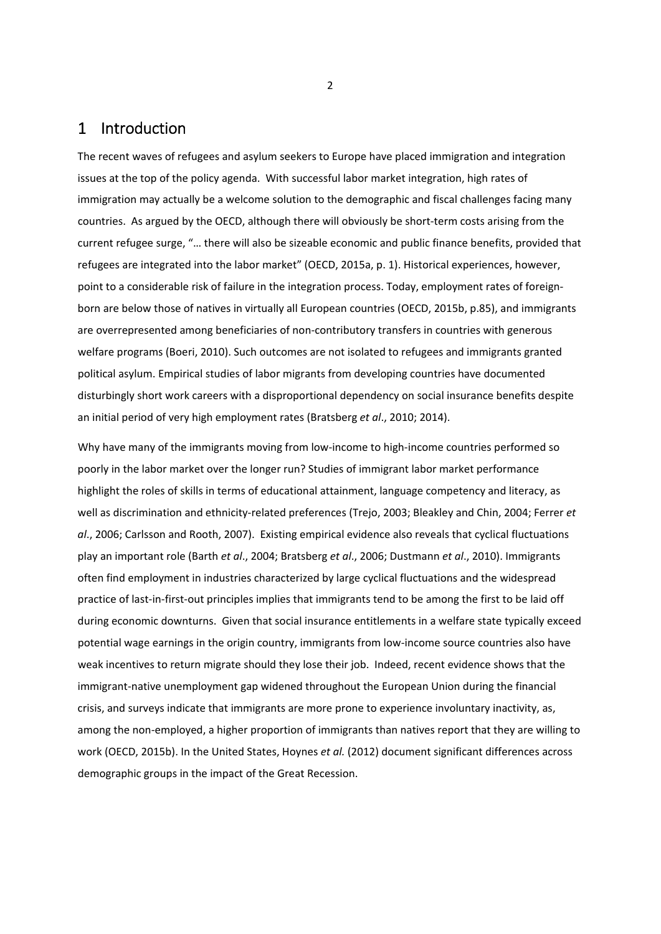### 1 Introduction

The recent waves of refugees and asylum seekers to Europe have placed immigration and integration issues at the top of the policy agenda. With successful labor market integration, high rates of immigration may actually be a welcome solution to the demographic and fiscal challenges facing many countries. As argued by the OECD, although there will obviously be short-term costs arising from the current refugee surge, "… there will also be sizeable economic and public finance benefits, provided that refugees are integrated into the labor market" (OECD, 2015a, p. 1). Historical experiences, however, point to a considerable risk of failure in the integration process. Today, employment rates of foreignborn are below those of natives in virtually all European countries (OECD, 2015b, p.85), and immigrants are overrepresented among beneficiaries of non‐contributory transfers in countries with generous welfare programs (Boeri, 2010). Such outcomes are not isolated to refugees and immigrants granted political asylum. Empirical studies of labor migrants from developing countries have documented disturbingly short work careers with a disproportional dependency on social insurance benefits despite an initial period of very high employment rates (Bratsberg *et al*., 2010; 2014).

Why have many of the immigrants moving from low-income to high-income countries performed so poorly in the labor market over the longer run? Studies of immigrant labor market performance highlight the roles of skills in terms of educational attainment, language competency and literacy, as well as discrimination and ethnicity‐related preferences (Trejo, 2003; Bleakley and Chin, 2004; Ferrer *et al*., 2006; Carlsson and Rooth, 2007). Existing empirical evidence also reveals that cyclical fluctuations play an important role (Barth *et al*., 2004; Bratsberg *et al*., 2006; Dustmann *et al*., 2010). Immigrants often find employment in industries characterized by large cyclical fluctuations and the widespread practice of last-in-first-out principles implies that immigrants tend to be among the first to be laid off during economic downturns. Given that social insurance entitlements in a welfare state typically exceed potential wage earnings in the origin country, immigrants from low-income source countries also have weak incentives to return migrate should they lose their job. Indeed, recent evidence shows that the immigrant-native unemployment gap widened throughout the European Union during the financial crisis, and surveys indicate that immigrants are more prone to experience involuntary inactivity, as, among the non-employed, a higher proportion of immigrants than natives report that they are willing to work (OECD, 2015b). In the United States, Hoynes *et al.* (2012) document significant differences across demographic groups in the impact of the Great Recession.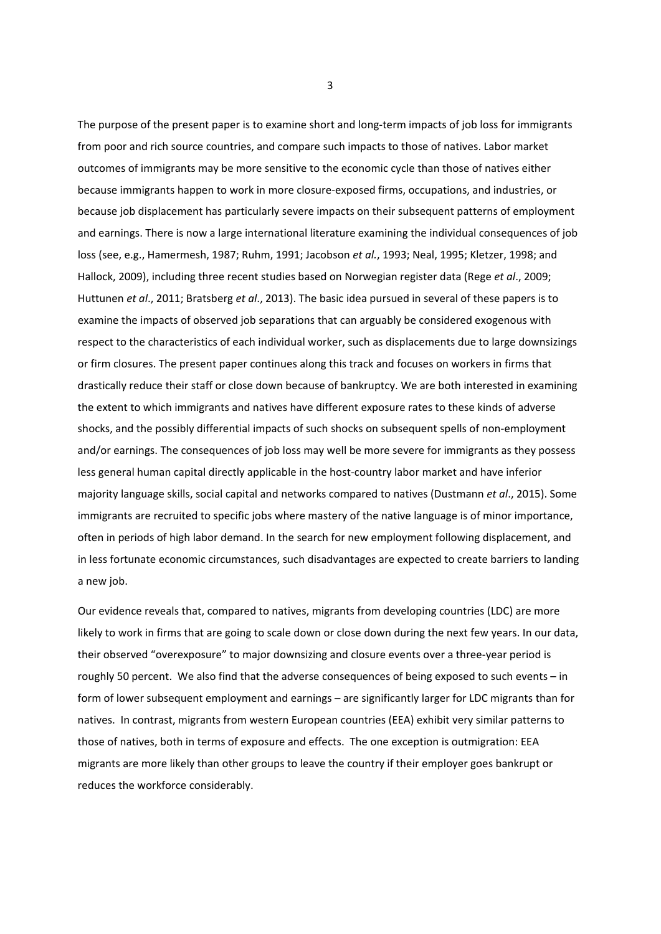The purpose of the present paper is to examine short and long-term impacts of job loss for immigrants from poor and rich source countries, and compare such impacts to those of natives. Labor market outcomes of immigrants may be more sensitive to the economic cycle than those of natives either because immigrants happen to work in more closure‐exposed firms, occupations, and industries, or because job displacement has particularly severe impacts on their subsequent patterns of employment and earnings. There is now a large international literature examining the individual consequences of job loss (see, e.g., Hamermesh, 1987; Ruhm, 1991; Jacobson *et al.*, 1993; Neal, 1995; Kletzer, 1998; and Hallock, 2009), including three recent studies based on Norwegian register data (Rege *et al*., 2009; Huttunen *et al*., 2011; Bratsberg *et al*., 2013). The basic idea pursued in several of these papers is to examine the impacts of observed job separations that can arguably be considered exogenous with respect to the characteristics of each individual worker, such as displacements due to large downsizings or firm closures. The present paper continues along this track and focuses on workers in firms that drastically reduce their staff or close down because of bankruptcy. We are both interested in examining the extent to which immigrants and natives have different exposure rates to these kinds of adverse shocks, and the possibly differential impacts of such shocks on subsequent spells of non-employment and/or earnings. The consequences of job loss may well be more severe for immigrants as they possess less general human capital directly applicable in the host-country labor market and have inferior majority language skills, social capital and networks compared to natives (Dustmann *et al*., 2015). Some immigrants are recruited to specific jobs where mastery of the native language is of minor importance, often in periods of high labor demand. In the search for new employment following displacement, and in less fortunate economic circumstances, such disadvantages are expected to create barriers to landing a new job.

Our evidence reveals that, compared to natives, migrants from developing countries (LDC) are more likely to work in firms that are going to scale down or close down during the next few years. In our data, their observed "overexposure" to major downsizing and closure events over a three‐year period is roughly 50 percent. We also find that the adverse consequences of being exposed to such events – in form of lower subsequent employment and earnings – are significantly larger for LDC migrants than for natives. In contrast, migrants from western European countries (EEA) exhibit very similar patterns to those of natives, both in terms of exposure and effects. The one exception is outmigration: EEA migrants are more likely than other groups to leave the country if their employer goes bankrupt or reduces the workforce considerably.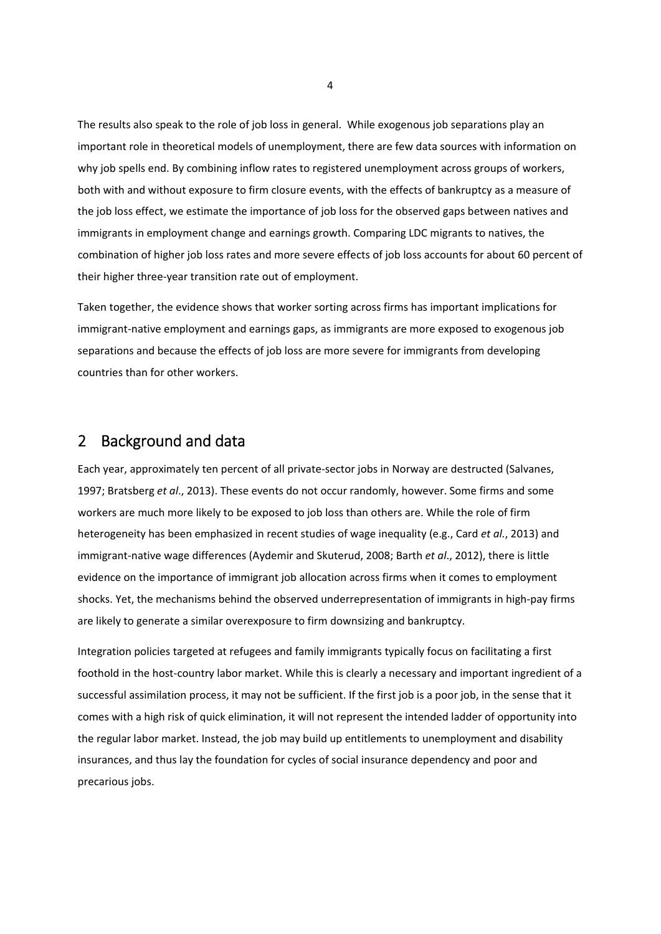The results also speak to the role of job loss in general. While exogenous job separations play an important role in theoretical models of unemployment, there are few data sources with information on why job spells end. By combining inflow rates to registered unemployment across groups of workers, both with and without exposure to firm closure events, with the effects of bankruptcy as a measure of the job loss effect, we estimate the importance of job loss for the observed gaps between natives and immigrants in employment change and earnings growth. Comparing LDC migrants to natives, the combination of higher job loss rates and more severe effects of job loss accounts for about 60 percent of their higher three‐year transition rate out of employment.

Taken together, the evidence shows that worker sorting across firms has important implications for immigrant-native employment and earnings gaps, as immigrants are more exposed to exogenous job separations and because the effects of job loss are more severe for immigrants from developing countries than for other workers.

## 2 Background and data

Each year, approximately ten percent of all private‐sector jobs in Norway are destructed (Salvanes, 1997; Bratsberg *et al*., 2013). These events do not occur randomly, however. Some firms and some workers are much more likely to be exposed to job loss than others are. While the role of firm heterogeneity has been emphasized in recent studies of wage inequality (e.g., Card *et al.*, 2013) and immigrant‐native wage differences (Aydemir and Skuterud, 2008; Barth *et al*., 2012), there is little evidence on the importance of immigrant job allocation across firms when it comes to employment shocks. Yet, the mechanisms behind the observed underrepresentation of immigrants in high‐pay firms are likely to generate a similar overexposure to firm downsizing and bankruptcy.

Integration policies targeted at refugees and family immigrants typically focus on facilitating a first foothold in the host‐country labor market. While this is clearly a necessary and important ingredient of a successful assimilation process, it may not be sufficient. If the first job is a poor job, in the sense that it comes with a high risk of quick elimination, it will not represent the intended ladder of opportunity into the regular labor market. Instead, the job may build up entitlements to unemployment and disability insurances, and thus lay the foundation for cycles of social insurance dependency and poor and precarious jobs.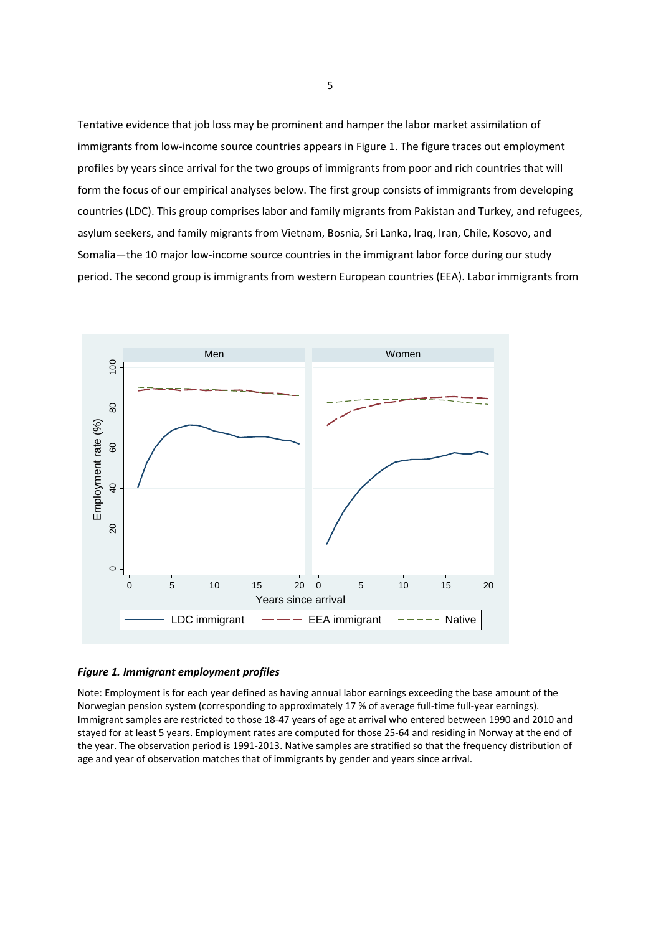Tentative evidence that job loss may be prominent and hamper the labor market assimilation of immigrants from low-income source countries appears in Figure 1. The figure traces out employment profiles by years since arrival for the two groups of immigrants from poor and rich countries that will form the focus of our empirical analyses below. The first group consists of immigrants from developing countries (LDC). This group comprises labor and family migrants from Pakistan and Turkey, and refugees, asylum seekers, and family migrants from Vietnam, Bosnia, Sri Lanka, Iraq, Iran, Chile, Kosovo, and Somalia—the 10 major low‐income source countries in the immigrant labor force during our study period. The second group is immigrants from western European countries (EEA). Labor immigrants from



#### *Figure 1. Immigrant employment profiles*

Note: Employment is for each year defined as having annual labor earnings exceeding the base amount of the Norwegian pension system (corresponding to approximately 17 % of average full-time full-year earnings). Immigrant samples are restricted to those 18‐47 years of age at arrival who entered between 1990 and 2010 and stayed for at least 5 years. Employment rates are computed for those 25‐64 and residing in Norway at the end of the year. The observation period is 1991‐2013. Native samples are stratified so that the frequency distribution of age and year of observation matches that of immigrants by gender and years since arrival.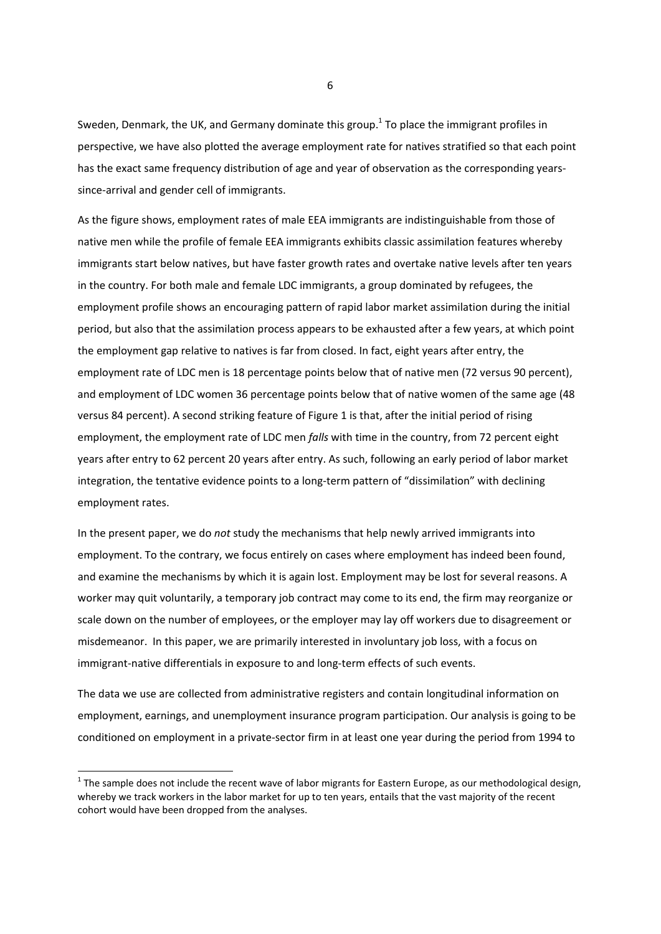Sweden, Denmark, the UK, and Germany dominate this group.<sup>1</sup> To place the immigrant profiles in perspective, we have also plotted the average employment rate for natives stratified so that each point has the exact same frequency distribution of age and year of observation as the corresponding yearssince-arrival and gender cell of immigrants.

As the figure shows, employment rates of male EEA immigrants are indistinguishable from those of native men while the profile of female EEA immigrants exhibits classic assimilation features whereby immigrants start below natives, but have faster growth rates and overtake native levels after ten years in the country. For both male and female LDC immigrants, a group dominated by refugees, the employment profile shows an encouraging pattern of rapid labor market assimilation during the initial period, but also that the assimilation process appears to be exhausted after a few years, at which point the employment gap relative to natives is far from closed. In fact, eight years after entry, the employment rate of LDC men is 18 percentage points below that of native men (72 versus 90 percent), and employment of LDC women 36 percentage points below that of native women of the same age (48 versus 84 percent). A second striking feature of Figure 1 is that, after the initial period of rising employment, the employment rate of LDC men *falls* with time in the country, from 72 percent eight years after entry to 62 percent 20 years after entry. As such, following an early period of labor market integration, the tentative evidence points to a long-term pattern of "dissimilation" with declining employment rates.

In the present paper, we do *not* study the mechanisms that help newly arrived immigrants into employment. To the contrary, we focus entirely on cases where employment has indeed been found, and examine the mechanisms by which it is again lost. Employment may be lost for several reasons. A worker may quit voluntarily, a temporary job contract may come to its end, the firm may reorganize or scale down on the number of employees, or the employer may lay off workers due to disagreement or misdemeanor. In this paper, we are primarily interested in involuntary job loss, with a focus on immigrant‐native differentials in exposure to and long‐term effects of such events.

The data we use are collected from administrative registers and contain longitudinal information on employment, earnings, and unemployment insurance program participation. Our analysis is going to be conditioned on employment in a private‐sector firm in at least one year during the period from 1994 to

 $1$  The sample does not include the recent wave of labor migrants for Eastern Europe, as our methodological design, whereby we track workers in the labor market for up to ten years, entails that the vast majority of the recent cohort would have been dropped from the analyses.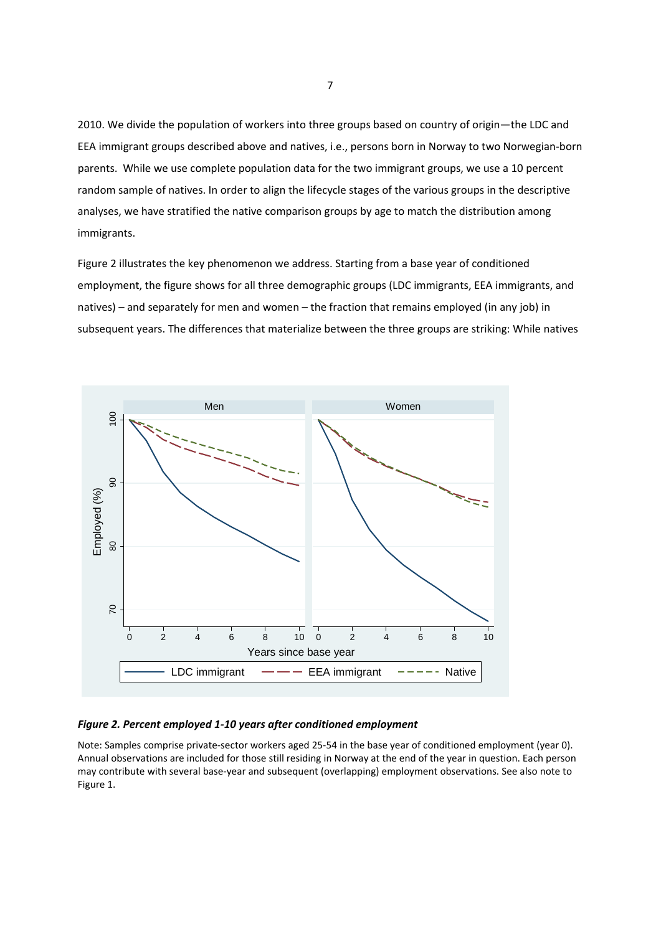2010. We divide the population of workers into three groups based on country of origin—the LDC and EEA immigrant groups described above and natives, i.e., persons born in Norway to two Norwegian‐born parents. While we use complete population data for the two immigrant groups, we use a 10 percent random sample of natives. In order to align the lifecycle stages of the various groups in the descriptive analyses, we have stratified the native comparison groups by age to match the distribution among immigrants.

Figure 2 illustrates the key phenomenon we address. Starting from a base year of conditioned employment, the figure shows for all three demographic groups (LDC immigrants, EEA immigrants, and natives) – and separately for men and women – the fraction that remains employed (in any job) in subsequent years. The differences that materialize between the three groups are striking: While natives



### *Figure 2. Percent employed 1‐10 years after conditioned employment*

Note: Samples comprise private‐sector workers aged 25‐54 in the base year of conditioned employment (year 0). Annual observations are included for those still residing in Norway at the end of the year in question. Each person may contribute with several base‐year and subsequent (overlapping) employment observations. See also note to Figure 1.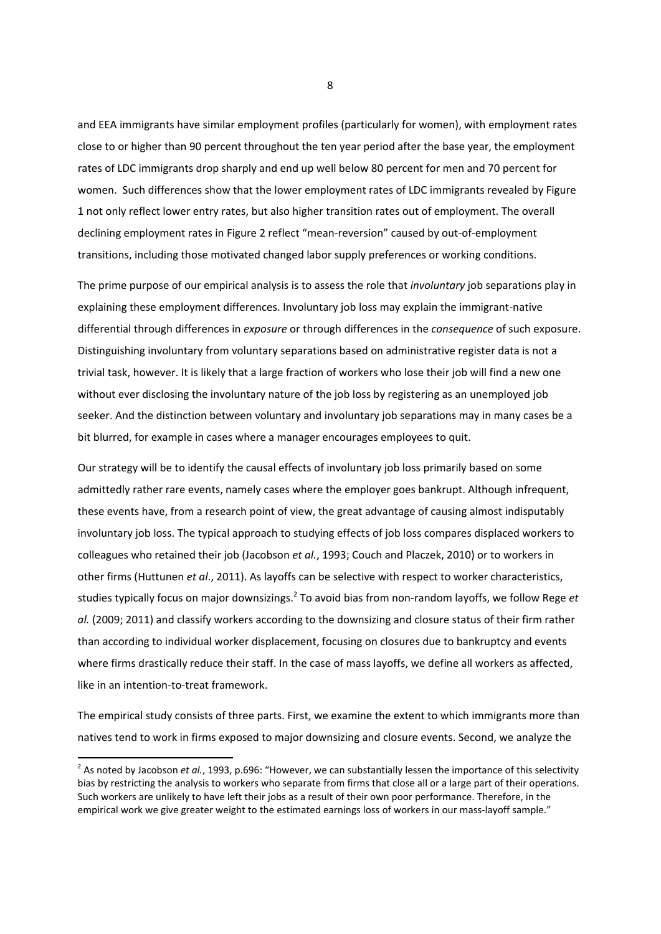and EEA immigrants have similar employment profiles (particularly for women), with employment rates close to or higher than 90 percent throughout the ten year period after the base year, the employment rates of LDC immigrants drop sharply and end up well below 80 percent for men and 70 percent for women. Such differences show that the lower employment rates of LDC immigrants revealed by Figure 1 not only reflect lower entry rates, but also higher transition rates out of employment. The overall declining employment rates in Figure 2 reflect "mean‐reversion" caused by out‐of‐employment transitions, including those motivated changed labor supply preferences or working conditions.

The prime purpose of our empirical analysis is to assess the role that *involuntary* job separations play in explaining these employment differences. Involuntary job loss may explain the immigrant-native differential through differences in *exposure* or through differences in the *consequence* of such exposure. Distinguishing involuntary from voluntary separations based on administrative register data is not a trivial task, however. It is likely that a large fraction of workers who lose their job will find a new one without ever disclosing the involuntary nature of the job loss by registering as an unemployed job seeker. And the distinction between voluntary and involuntary job separations may in many cases be a bit blurred, for example in cases where a manager encourages employees to quit.

Our strategy will be to identify the causal effects of involuntary job loss primarily based on some admittedly rather rare events, namely cases where the employer goes bankrupt. Although infrequent, these events have, from a research point of view, the great advantage of causing almost indisputably involuntary job loss. The typical approach to studying effects of job loss compares displaced workers to colleagues who retained their job (Jacobson *et al.*, 1993; Couch and Placzek, 2010) or to workers in other firms (Huttunen *et al*., 2011). As layoffs can be selective with respect to worker characteristics, studies typically focus on major downsizings.2 To avoid bias from non‐random layoffs, we follow Rege *et al.* (2009; 2011) and classify workers according to the downsizing and closure status of their firm rather than according to individual worker displacement, focusing on closures due to bankruptcy and events where firms drastically reduce their staff. In the case of mass layoffs, we define all workers as affected, like in an intention‐to‐treat framework.

The empirical study consists of three parts. First, we examine the extent to which immigrants more than natives tend to work in firms exposed to major downsizing and closure events. Second, we analyze the

<sup>&</sup>lt;sup>2</sup> As noted by Jacobson *et al.*, 1993, p.696: "However, we can substantially lessen the importance of this selectivity bias by restricting the analysis to workers who separate from firms that close all or a large part of their operations. Such workers are unlikely to have left their jobs as a result of their own poor performance. Therefore, in the empirical work we give greater weight to the estimated earnings loss of workers in our mass-layoff sample."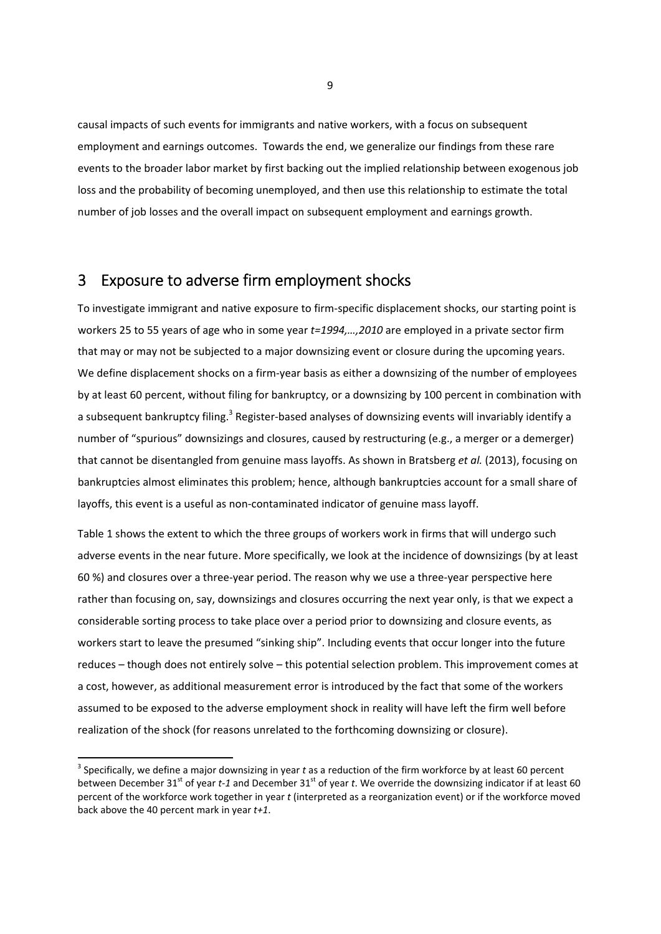causal impacts of such events for immigrants and native workers, with a focus on subsequent employment and earnings outcomes. Towards the end, we generalize our findings from these rare events to the broader labor market by first backing out the implied relationship between exogenous job loss and the probability of becoming unemployed, and then use this relationship to estimate the total number of job losses and the overall impact on subsequent employment and earnings growth.

## 3 Exposure to adverse firm employment shocks

To investigate immigrant and native exposure to firm‐specific displacement shocks, our starting point is workers 25 to 55 years of age who in some year *t=1994,…,2010* are employed in a private sector firm that may or may not be subjected to a major downsizing event or closure during the upcoming years. We define displacement shocks on a firm-year basis as either a downsizing of the number of employees by at least 60 percent, without filing for bankruptcy, or a downsizing by 100 percent in combination with a subsequent bankruptcy filing.<sup>3</sup> Register-based analyses of downsizing events will invariably identify a number of "spurious" downsizings and closures, caused by restructuring (e.g., a merger or a demerger) that cannot be disentangled from genuine mass layoffs. As shown in Bratsberg *et al.* (2013), focusing on bankruptcies almost eliminates this problem; hence, although bankruptcies account for a small share of layoffs, this event is a useful as non‐contaminated indicator of genuine mass layoff.

Table 1 shows the extent to which the three groups of workers work in firms that will undergo such adverse events in the near future. More specifically, we look at the incidence of downsizings (by at least 60 %) and closures over a three‐year period. The reason why we use a three‐year perspective here rather than focusing on, say, downsizings and closures occurring the next year only, is that we expect a considerable sorting process to take place over a period prior to downsizing and closure events, as workers start to leave the presumed "sinking ship". Including events that occur longer into the future reduces – though does not entirely solve – this potential selection problem. This improvement comes at a cost, however, as additional measurement error is introduced by the fact that some of the workers assumed to be exposed to the adverse employment shock in reality will have left the firm well before realization of the shock (for reasons unrelated to the forthcoming downsizing or closure).

<sup>3</sup> Specifically, we define a major downsizing in year *t* as a reduction of the firm workforce by at least 60 percent between December 31<sup>st</sup> of year *t*-1 and December 31<sup>st</sup> of year *t*. We override the downsizing indicator if at least 60 percent of the workforce work together in year *t* (interpreted as a reorganization event) or if the workforce moved back above the 40 percent mark in year *t+1*.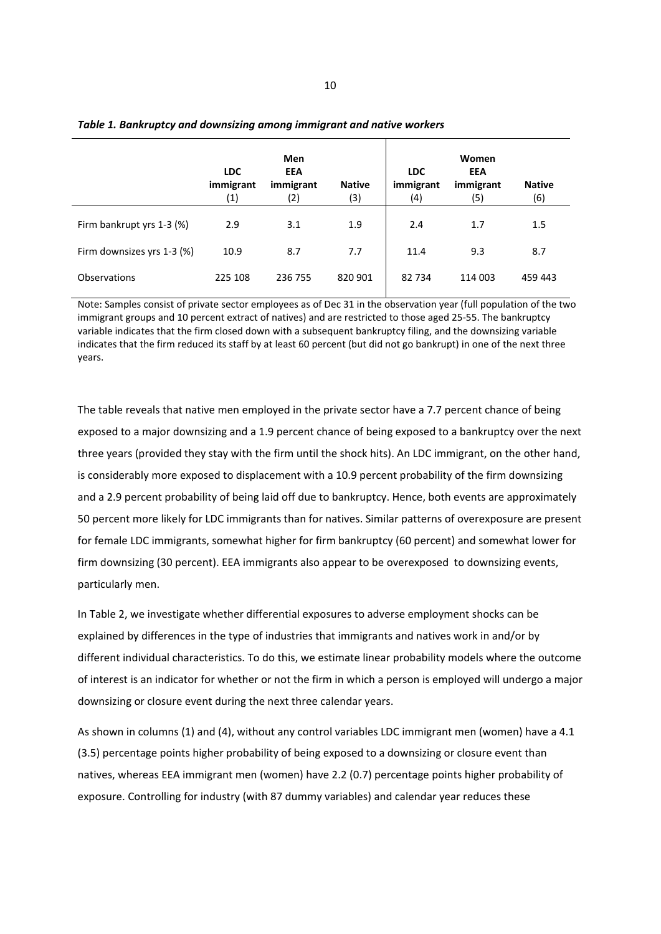|                            | <b>LDC</b><br>immigrant<br>(1) | Men<br>EEA<br>immigrant<br>(2) | <b>Native</b><br>(3) | <b>LDC</b><br>immigrant<br>(4) | Women<br>EEA<br>immigrant<br>(5) | <b>Native</b><br>(6) |
|----------------------------|--------------------------------|--------------------------------|----------------------|--------------------------------|----------------------------------|----------------------|
| Firm bankrupt yrs 1-3 (%)  | 2.9                            | 3.1                            | 1.9                  | 2.4                            | 1.7                              | 1.5                  |
| Firm downsizes yrs 1-3 (%) | 10.9                           | 8.7                            | 7.7                  | 11.4                           | 9.3                              | 8.7                  |
| Observations               | 225 108                        | 236 755                        | 820 901              | 82734                          | 114 003                          | 459 443              |

#### *Table 1. Bankruptcy and downsizing among immigrant and native workers*

Note: Samples consist of private sector employees as of Dec 31 in the observation year (full population of the two immigrant groups and 10 percent extract of natives) and are restricted to those aged 25‐55. The bankruptcy variable indicates that the firm closed down with a subsequent bankruptcy filing, and the downsizing variable indicates that the firm reduced its staff by at least 60 percent (but did not go bankrupt) in one of the next three years.

The table reveals that native men employed in the private sector have a 7.7 percent chance of being exposed to a major downsizing and a 1.9 percent chance of being exposed to a bankruptcy over the next three years (provided they stay with the firm until the shock hits). An LDC immigrant, on the other hand, is considerably more exposed to displacement with a 10.9 percent probability of the firm downsizing and a 2.9 percent probability of being laid off due to bankruptcy. Hence, both events are approximately 50 percent more likely for LDC immigrants than for natives. Similar patterns of overexposure are present for female LDC immigrants, somewhat higher for firm bankruptcy (60 percent) and somewhat lower for firm downsizing (30 percent). EEA immigrants also appear to be overexposed to downsizing events, particularly men.

In Table 2, we investigate whether differential exposures to adverse employment shocks can be explained by differences in the type of industries that immigrants and natives work in and/or by different individual characteristics. To do this, we estimate linear probability models where the outcome of interest is an indicator for whether or not the firm in which a person is employed will undergo a major downsizing or closure event during the next three calendar years.

As shown in columns (1) and (4), without any control variables LDC immigrant men (women) have a 4.1 (3.5) percentage points higher probability of being exposed to a downsizing or closure event than natives, whereas EEA immigrant men (women) have 2.2 (0.7) percentage points higher probability of exposure. Controlling for industry (with 87 dummy variables) and calendar year reduces these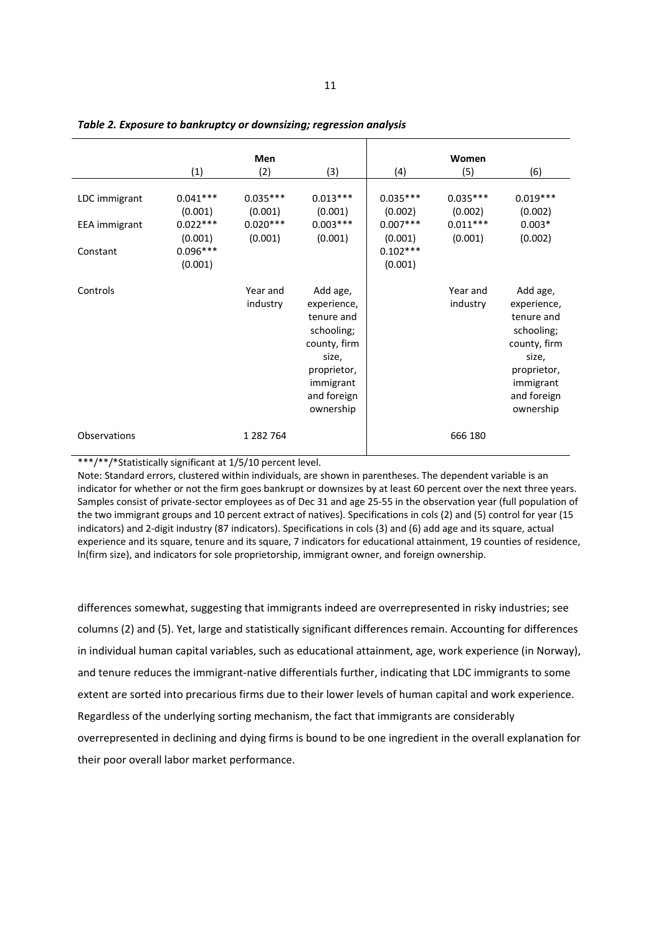|                                                   | (1)                                                                     | <b>Men</b><br>(2)                              | (3)                                                                                                                                  | (4)                                                                     | Women<br>(5)                                   | (6)                                                                                                                                  |
|---------------------------------------------------|-------------------------------------------------------------------------|------------------------------------------------|--------------------------------------------------------------------------------------------------------------------------------------|-------------------------------------------------------------------------|------------------------------------------------|--------------------------------------------------------------------------------------------------------------------------------------|
| LDC immigrant<br><b>EEA</b> immigrant<br>Constant | $0.041***$<br>(0.001)<br>$0.022***$<br>(0.001)<br>$0.096***$<br>(0.001) | $0.035***$<br>(0.001)<br>$0.020***$<br>(0.001) | $0.013***$<br>(0.001)<br>$0.003***$<br>(0.001)                                                                                       | $0.035***$<br>(0.002)<br>$0.007***$<br>(0.001)<br>$0.102***$<br>(0.001) | $0.035***$<br>(0.002)<br>$0.011***$<br>(0.001) | $0.019***$<br>(0.002)<br>$0.003*$<br>(0.002)                                                                                         |
| Controls                                          |                                                                         | Year and<br>industry                           | Add age,<br>experience,<br>tenure and<br>schooling;<br>county, firm<br>size,<br>proprietor,<br>immigrant<br>and foreign<br>ownership |                                                                         | Year and<br>industry                           | Add age,<br>experience,<br>tenure and<br>schooling;<br>county, firm<br>size,<br>proprietor,<br>immigrant<br>and foreign<br>ownership |
| Observations                                      |                                                                         | 1 2 8 2 7 6 4                                  |                                                                                                                                      |                                                                         | 666 180                                        |                                                                                                                                      |

*Table 2. Exposure to bankruptcy or downsizing; regression analysis* 

\*\*\*/\*\*/\*Statistically significant at 1/5/10 percent level.

Note: Standard errors, clustered within individuals, are shown in parentheses. The dependent variable is an indicator for whether or not the firm goes bankrupt or downsizes by at least 60 percent over the next three years. Samples consist of private‐sector employees as of Dec 31 and age 25‐55 in the observation year (full population of the two immigrant groups and 10 percent extract of natives). Specifications in cols (2) and (5) control for year (15 indicators) and 2‐digit industry (87 indicators). Specifications in cols (3) and (6) add age and its square, actual experience and its square, tenure and its square, 7 indicators for educational attainment, 19 counties of residence, ln(firm size), and indicators for sole proprietorship, immigrant owner, and foreign ownership.

differences somewhat, suggesting that immigrants indeed are overrepresented in risky industries; see columns (2) and (5). Yet, large and statistically significant differences remain. Accounting for differences in individual human capital variables, such as educational attainment, age, work experience (in Norway), and tenure reduces the immigrant‐native differentials further, indicating that LDC immigrants to some extent are sorted into precarious firms due to their lower levels of human capital and work experience. Regardless of the underlying sorting mechanism, the fact that immigrants are considerably overrepresented in declining and dying firms is bound to be one ingredient in the overall explanation for their poor overall labor market performance.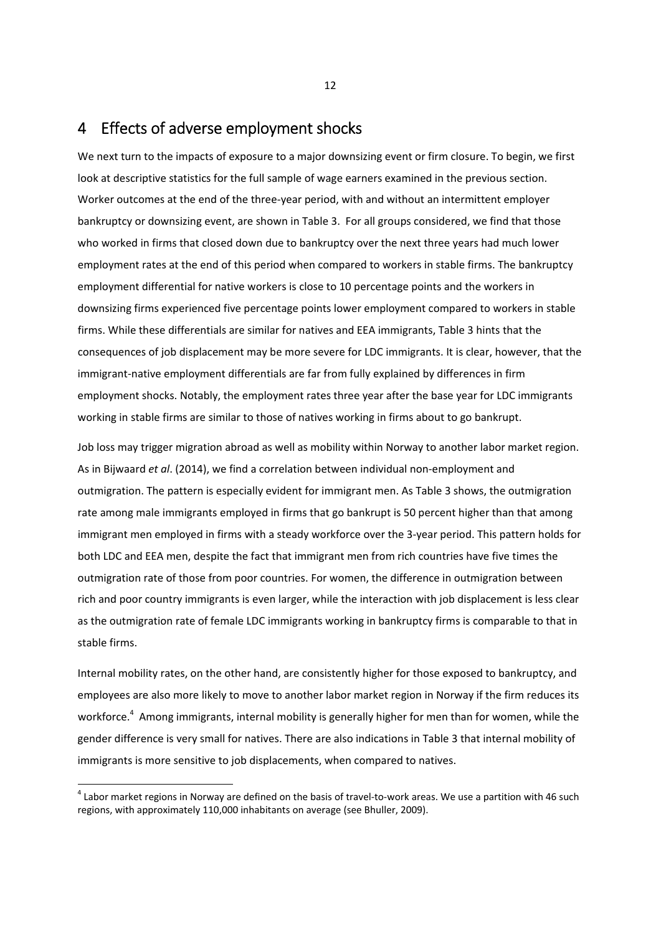### 4 Effects of adverse employment shocks

We next turn to the impacts of exposure to a major downsizing event or firm closure. To begin, we first look at descriptive statistics for the full sample of wage earners examined in the previous section. Worker outcomes at the end of the three‐year period, with and without an intermittent employer bankruptcy or downsizing event, are shown in Table 3. For all groups considered, we find that those who worked in firms that closed down due to bankruptcy over the next three years had much lower employment rates at the end of this period when compared to workers in stable firms. The bankruptcy employment differential for native workers is close to 10 percentage points and the workers in downsizing firms experienced five percentage points lower employment compared to workers in stable firms. While these differentials are similar for natives and EEA immigrants, Table 3 hints that the consequences of job displacement may be more severe for LDC immigrants. It is clear, however, that the immigrant‐native employment differentials are far from fully explained by differences in firm employment shocks. Notably, the employment rates three year after the base year for LDC immigrants working in stable firms are similar to those of natives working in firms about to go bankrupt.

Job loss may trigger migration abroad as well as mobility within Norway to another labor market region. As in Bijwaard *et al*. (2014), we find a correlation between individual non‐employment and outmigration. The pattern is especially evident for immigrant men. As Table 3 shows, the outmigration rate among male immigrants employed in firms that go bankrupt is 50 percent higher than that among immigrant men employed in firms with a steady workforce over the 3-year period. This pattern holds for both LDC and EEA men, despite the fact that immigrant men from rich countries have five times the outmigration rate of those from poor countries. For women, the difference in outmigration between rich and poor country immigrants is even larger, while the interaction with job displacement is less clear as the outmigration rate of female LDC immigrants working in bankruptcy firms is comparable to that in stable firms.

Internal mobility rates, on the other hand, are consistently higher for those exposed to bankruptcy, and employees are also more likely to move to another labor market region in Norway if the firm reduces its workforce.<sup>4</sup> Among immigrants, internal mobility is generally higher for men than for women, while the gender difference is very small for natives. There are also indications in Table 3 that internal mobility of immigrants is more sensitive to job displacements, when compared to natives.

 $4$  Labor market regions in Norway are defined on the basis of travel-to-work areas. We use a partition with 46 such regions, with approximately 110,000 inhabitants on average (see Bhuller, 2009).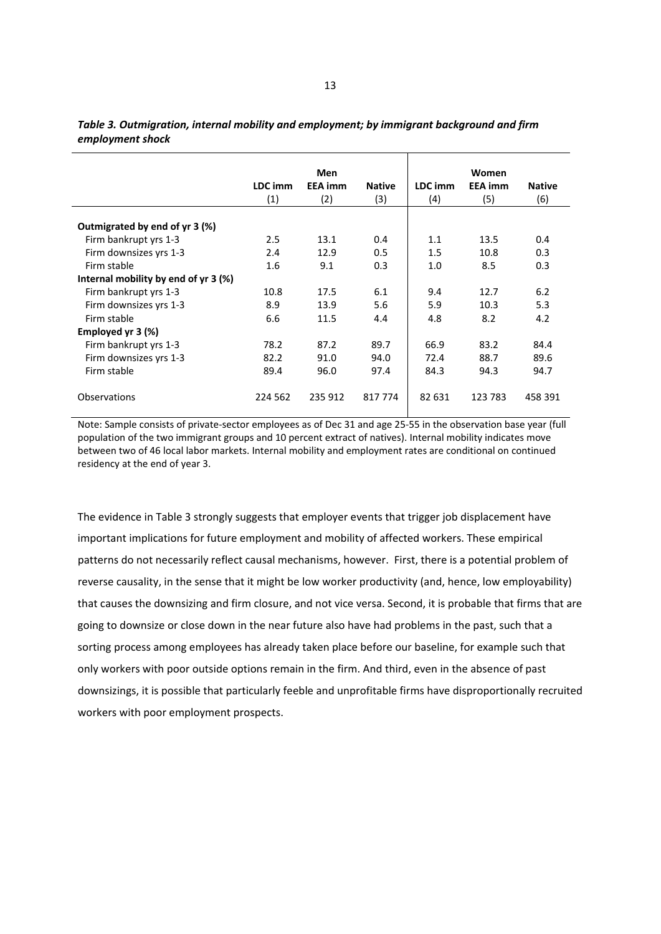|                                      | Men     |                |               |         | Women          |               |
|--------------------------------------|---------|----------------|---------------|---------|----------------|---------------|
|                                      | LDC imm | <b>EEA</b> imm | <b>Native</b> | LDC imm | <b>EEA</b> imm | <b>Native</b> |
|                                      | (1)     | (2)            | (3)           | (4)     | (5)            | (6)           |
| Outmigrated by end of yr 3 (%)       |         |                |               |         |                |               |
| Firm bankrupt yrs 1-3                | 2.5     | 13.1           | 0.4           | 1.1     | 13.5           | 0.4           |
| Firm downsizes yrs 1-3               | 2.4     | 12.9           | 0.5           | 1.5     | 10.8           | 0.3           |
| Firm stable                          | 1.6     | 9.1            | 0.3           | 1.0     | 8.5            | 0.3           |
| Internal mobility by end of yr 3 (%) |         |                |               |         |                |               |
| Firm bankrupt yrs 1-3                | 10.8    | 17.5           | 6.1           | 9.4     | 12.7           | 6.2           |
| Firm downsizes yrs 1-3               | 8.9     | 13.9           | 5.6           | 5.9     | 10.3           | 5.3           |
| Firm stable                          | 6.6     | 11.5           | 4.4           | 4.8     | 8.2            | 4.2           |
| Employed yr 3 (%)                    |         |                |               |         |                |               |
| Firm bankrupt yrs 1-3                | 78.2    | 87.2           | 89.7          | 66.9    | 83.2           | 84.4          |
| Firm downsizes yrs 1-3               | 82.2    | 91.0           | 94.0          | 72.4    | 88.7           | 89.6          |
| Firm stable                          | 89.4    | 96.0           | 97.4          | 84.3    | 94.3           | 94.7          |
| <b>Observations</b>                  | 224 562 | 235 912        | 817 774       | 82 631  | 123 783        | 458 391       |

*Table 3. Outmigration, internal mobility and employment; by immigrant background and firm employment shock*

Note: Sample consists of private‐sector employees as of Dec 31 and age 25‐55 in the observation base year (full population of the two immigrant groups and 10 percent extract of natives). Internal mobility indicates move between two of 46 local labor markets. Internal mobility and employment rates are conditional on continued residency at the end of year 3.

The evidence in Table 3 strongly suggests that employer events that trigger job displacement have important implications for future employment and mobility of affected workers. These empirical patterns do not necessarily reflect causal mechanisms, however. First, there is a potential problem of reverse causality, in the sense that it might be low worker productivity (and, hence, low employability) that causes the downsizing and firm closure, and not vice versa. Second, it is probable that firms that are going to downsize or close down in the near future also have had problems in the past, such that a sorting process among employees has already taken place before our baseline, for example such that only workers with poor outside options remain in the firm. And third, even in the absence of past downsizings, it is possible that particularly feeble and unprofitable firms have disproportionally recruited workers with poor employment prospects.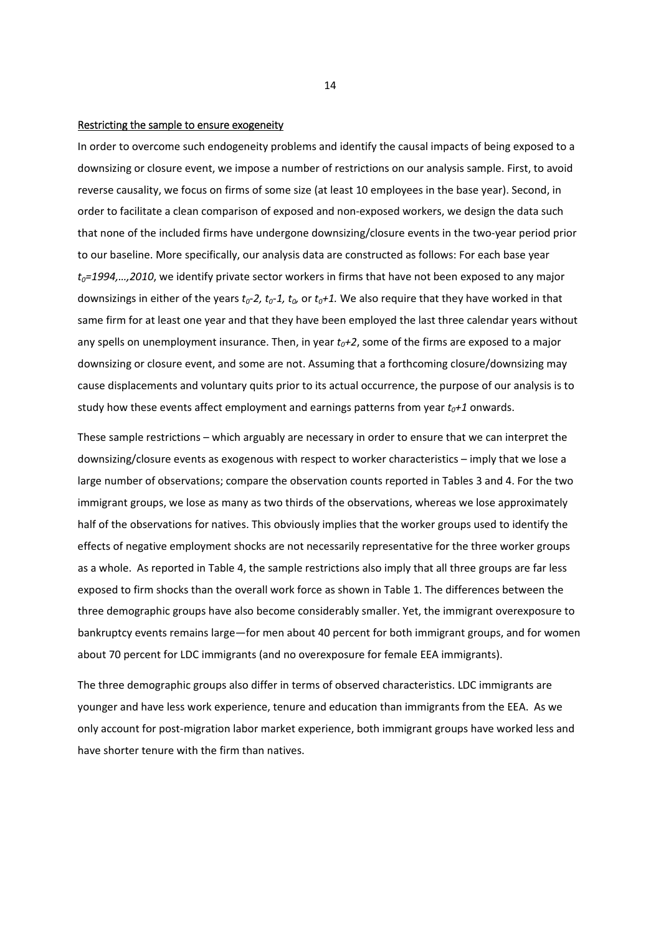#### Restricting the sample to ensure exogeneity

In order to overcome such endogeneity problems and identify the causal impacts of being exposed to a downsizing or closure event, we impose a number of restrictions on our analysis sample. First, to avoid reverse causality, we focus on firms of some size (at least 10 employees in the base year). Second, in order to facilitate a clean comparison of exposed and non‐exposed workers, we design the data such that none of the included firms have undergone downsizing/closure events in the two-year period prior to our baseline. More specifically, our analysis data are constructed as follows: For each base year *t0=1994,…,2010*, we identify private sector workers in firms that have not been exposed to any major downsizings in either of the years  $t_0$ -2,  $t_0$ -1,  $t_0$ , or  $t_0$ +1. We also require that they have worked in that same firm for at least one year and that they have been employed the last three calendar years without any spells on unemployment insurance. Then, in year  $t_0+2$ , some of the firms are exposed to a major downsizing or closure event, and some are not. Assuming that a forthcoming closure/downsizing may cause displacements and voluntary quits prior to its actual occurrence, the purpose of our analysis is to study how these events affect employment and earnings patterns from year  $t_0+1$  onwards.

These sample restrictions – which arguably are necessary in order to ensure that we can interpret the downsizing/closure events as exogenous with respect to worker characteristics – imply that we lose a large number of observations; compare the observation counts reported in Tables 3 and 4. For the two immigrant groups, we lose as many as two thirds of the observations, whereas we lose approximately half of the observations for natives. This obviously implies that the worker groups used to identify the effects of negative employment shocks are not necessarily representative for the three worker groups as a whole. As reported in Table 4, the sample restrictions also imply that all three groups are far less exposed to firm shocks than the overall work force as shown in Table 1. The differences between the three demographic groups have also become considerably smaller. Yet, the immigrant overexposure to bankruptcy events remains large—for men about 40 percent for both immigrant groups, and for women about 70 percent for LDC immigrants (and no overexposure for female EEA immigrants).

The three demographic groups also differ in terms of observed characteristics. LDC immigrants are younger and have less work experience, tenure and education than immigrants from the EEA. As we only account for post-migration labor market experience, both immigrant groups have worked less and have shorter tenure with the firm than natives.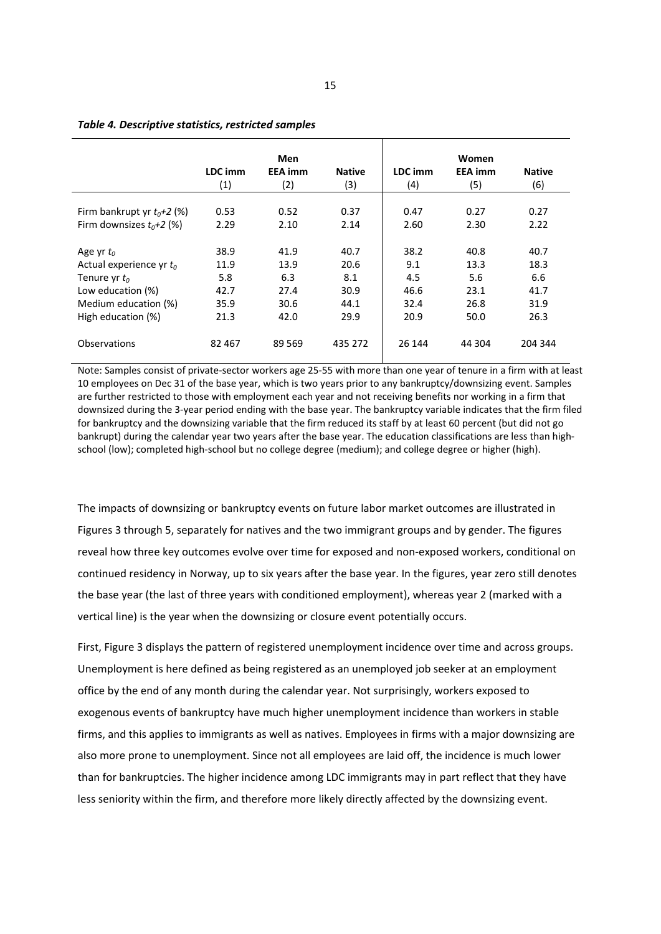|                              |         | Men            |               |         | Women          |               |
|------------------------------|---------|----------------|---------------|---------|----------------|---------------|
|                              | LDC imm | <b>EEA</b> imm | <b>Native</b> | LDC imm | <b>EEA</b> imm | <b>Native</b> |
|                              | (1)     | (2)            | (3)           | (4)     | (5)            | (6)           |
|                              |         |                |               |         |                |               |
| Firm bankrupt yr $t_0+2$ (%) | 0.53    | 0.52           | 0.37          | 0.47    | 0.27           | 0.27          |
| Firm downsizes $t_0+2$ (%)   | 2.29    | 2.10           | 2.14          | 2.60    | 2.30           | 2.22          |
|                              |         |                |               |         |                |               |
| Age yr $t_0$                 | 38.9    | 41.9           | 40.7          | 38.2    | 40.8           | 40.7          |
| Actual experience yr $t_0$   | 11.9    | 13.9           | 20.6          | 9.1     | 13.3           | 18.3          |
| Tenure yr $t_0$              | 5.8     | 6.3            | 8.1           | 4.5     | 5.6            | 6.6           |
| Low education (%)            | 42.7    | 27.4           | 30.9          | 46.6    | 23.1           | 41.7          |
| Medium education (%)         | 35.9    | 30.6           | 44.1          | 32.4    | 26.8           | 31.9          |
| High education (%)           | 21.3    | 42.0           | 29.9          | 20.9    | 50.0           | 26.3          |
|                              |         |                |               |         |                |               |
| Observations                 | 82 467  | 89 5 69        | 435 272       | 26 144  | 44 304         | 204 344       |
|                              |         |                |               |         |                |               |

#### *Table 4. Descriptive statistics, restricted samples*

Note: Samples consist of private‐sector workers age 25‐55 with more than one year of tenure in a firm with at least 10 employees on Dec 31 of the base year, which is two years prior to any bankruptcy/downsizing event. Samples are further restricted to those with employment each year and not receiving benefits nor working in a firm that downsized during the 3‐year period ending with the base year. The bankruptcy variable indicates that the firm filed for bankruptcy and the downsizing variable that the firm reduced its staff by at least 60 percent (but did not go bankrupt) during the calendar year two years after the base year. The education classifications are less than highschool (low); completed high-school but no college degree (medium); and college degree or higher (high).

The impacts of downsizing or bankruptcy events on future labor market outcomes are illustrated in Figures 3 through 5, separately for natives and the two immigrant groups and by gender. The figures reveal how three key outcomes evolve over time for exposed and non‐exposed workers, conditional on continued residency in Norway, up to six years after the base year. In the figures, year zero still denotes the base year (the last of three years with conditioned employment), whereas year 2 (marked with a vertical line) is the year when the downsizing or closure event potentially occurs.

First, Figure 3 displays the pattern of registered unemployment incidence over time and across groups. Unemployment is here defined as being registered as an unemployed job seeker at an employment office by the end of any month during the calendar year. Not surprisingly, workers exposed to exogenous events of bankruptcy have much higher unemployment incidence than workers in stable firms, and this applies to immigrants as well as natives. Employees in firms with a major downsizing are also more prone to unemployment. Since not all employees are laid off, the incidence is much lower than for bankruptcies. The higher incidence among LDC immigrants may in part reflect that they have less seniority within the firm, and therefore more likely directly affected by the downsizing event.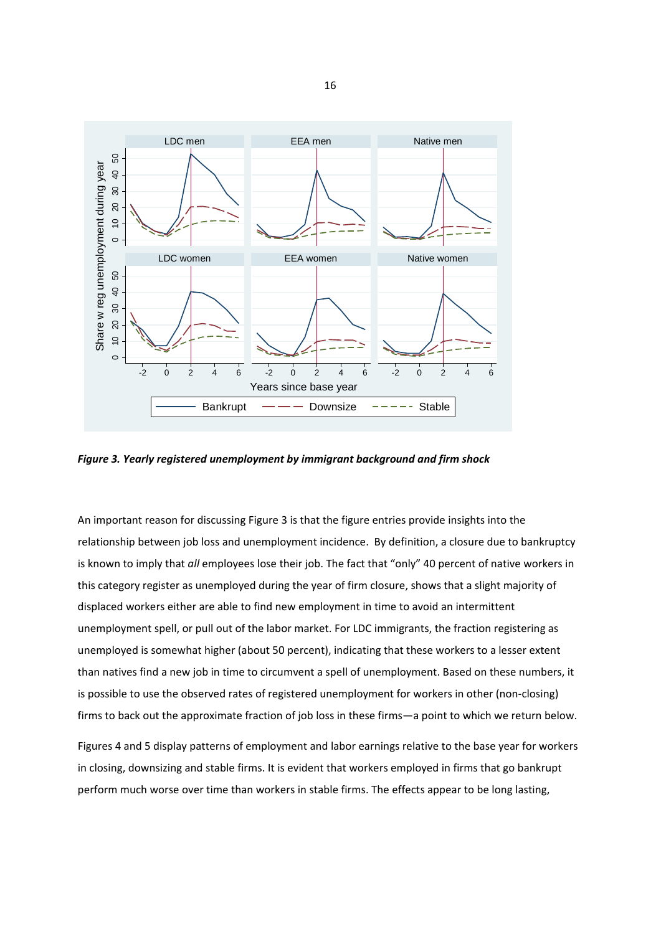

*Figure 3. Yearly registered unemployment by immigrant background and firm shock*

An important reason for discussing Figure 3 is that the figure entries provide insights into the relationship between job loss and unemployment incidence. By definition, a closure due to bankruptcy is known to imply that *all* employees lose their job. The fact that "only" 40 percent of native workers in this category register as unemployed during the year of firm closure, shows that a slight majority of displaced workers either are able to find new employment in time to avoid an intermittent unemployment spell, or pull out of the labor market. For LDC immigrants, the fraction registering as unemployed is somewhat higher (about 50 percent), indicating that these workers to a lesser extent than natives find a new job in time to circumvent a spell of unemployment. Based on these numbers, it is possible to use the observed rates of registered unemployment for workers in other (non‐closing) firms to back out the approximate fraction of job loss in these firms—a point to which we return below.

Figures 4 and 5 display patterns of employment and labor earnings relative to the base year for workers in closing, downsizing and stable firms. It is evident that workers employed in firms that go bankrupt perform much worse over time than workers in stable firms. The effects appear to be long lasting,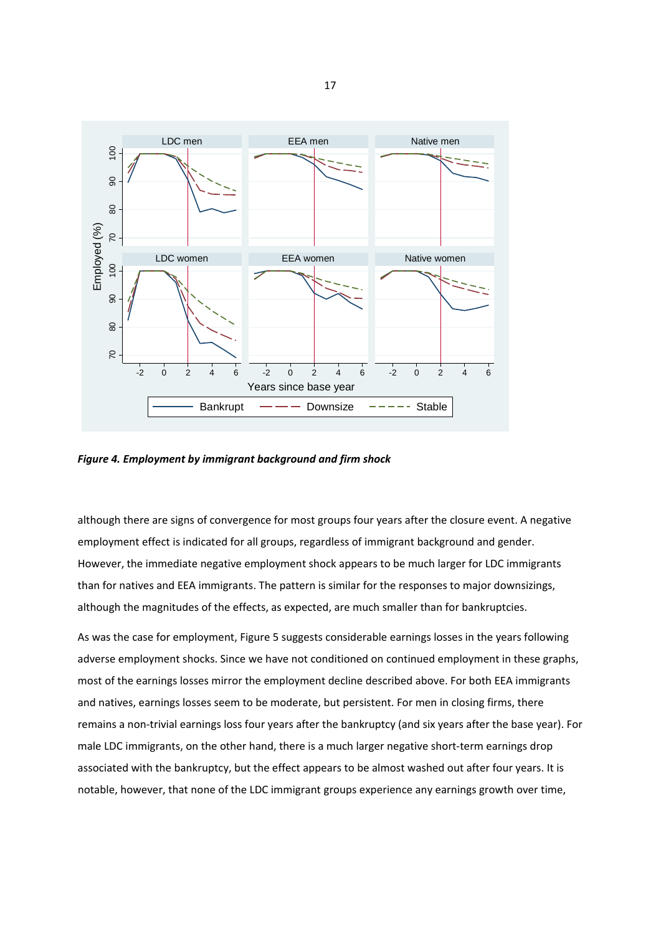

*Figure 4. Employment by immigrant background and firm shock*

although there are signs of convergence for most groups four years after the closure event. A negative employment effect is indicated for all groups, regardless of immigrant background and gender. However, the immediate negative employment shock appears to be much larger for LDC immigrants than for natives and EEA immigrants. The pattern is similar for the responses to major downsizings, although the magnitudes of the effects, as expected, are much smaller than for bankruptcies.

As was the case for employment, Figure 5 suggests considerable earnings losses in the years following adverse employment shocks. Since we have not conditioned on continued employment in these graphs, most of the earnings losses mirror the employment decline described above. For both EEA immigrants and natives, earnings losses seem to be moderate, but persistent. For men in closing firms, there remains a non‐trivial earnings loss four years after the bankruptcy (and six years after the base year). For male LDC immigrants, on the other hand, there is a much larger negative short-term earnings drop associated with the bankruptcy, but the effect appears to be almost washed out after four years. It is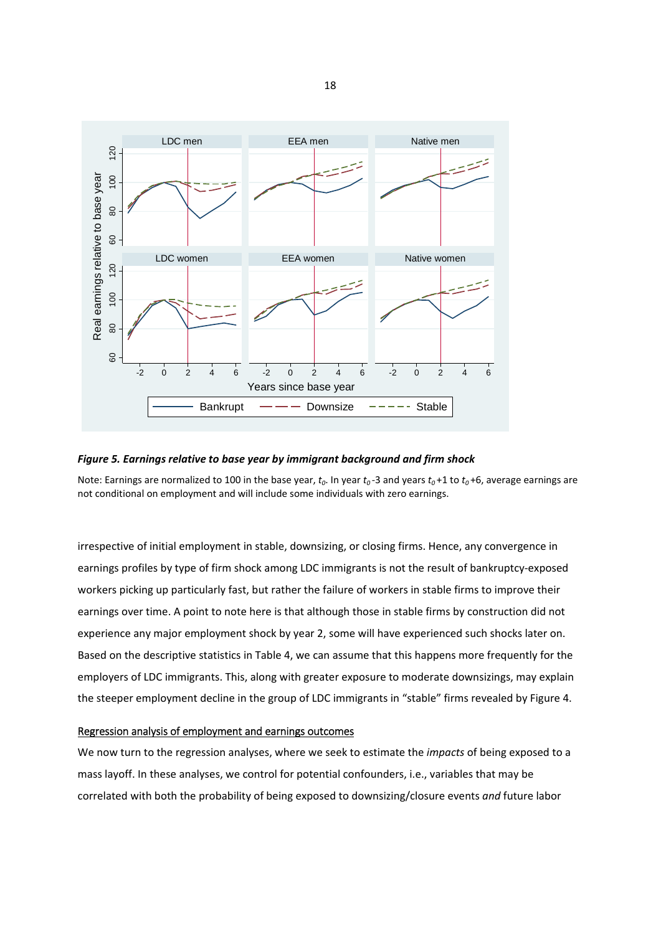

#### *Figure 5. Earnings relative to base year by immigrant background and firm shock*

Note: Earnings are normalized to 100 in the base year,  $t_0$ . In year  $t_0$ -3 and years  $t_0$ +1 to  $t_0$ +6, average earnings are not conditional on employment and will include some individuals with zero earnings.

irrespective of initial employment in stable, downsizing, or closing firms. Hence, any convergence in earnings profiles by type of firm shock among LDC immigrants is not the result of bankruptcy-exposed workers picking up particularly fast, but rather the failure of workers in stable firms to improve their earnings over time. A point to note here is that although those in stable firms by construction did not experience any major employment shock by year 2, some will have experienced such shocks later on. Based on the descriptive statistics in Table 4, we can assume that this happens more frequently for the employers of LDC immigrants. This, along with greater exposure to moderate downsizings, may explain the steeper employment decline in the group of LDC immigrants in "stable" firms revealed by Figure 4.

#### Regression analysis of employment and earnings outcomes

We now turn to the regression analyses, where we seek to estimate the *impacts* of being exposed to a mass layoff. In these analyses, we control for potential confounders, i.e., variables that may be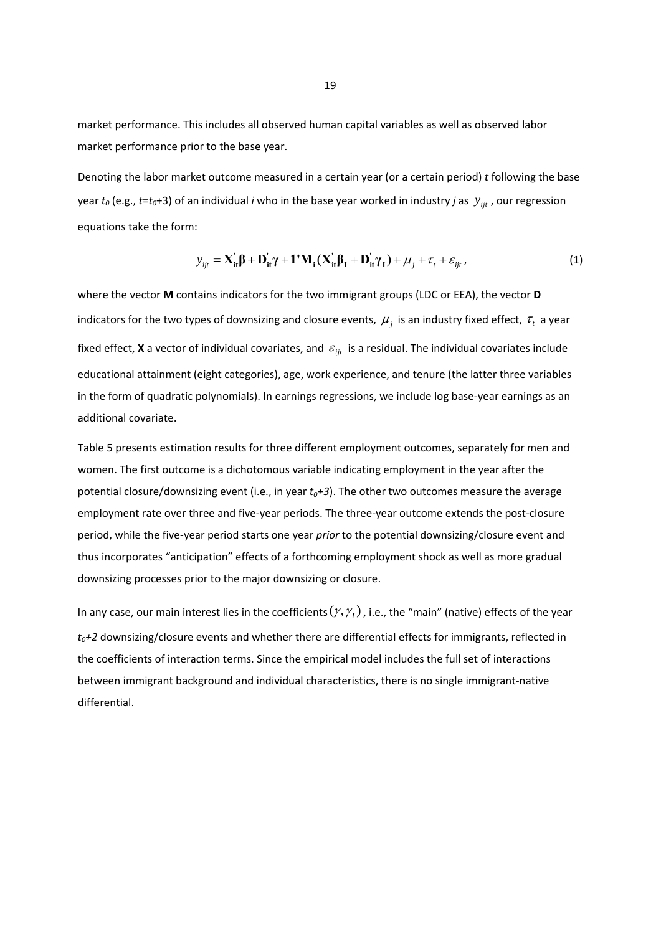market performance. This includes all observed human capital variables as well as observed labor market performance prior to the base year.

Denoting the labor market outcome measured in a certain year (or a certain period) *t* following the base year  $t_0$  (e.g.,  $t=t_0+3$ ) of an individual *i* who in the base year worked in industry *j* as  $y_{ijt}$  , our regression equations take the form:

$$
y_{ijt} = \mathbf{X}_{it}^{\dagger} \boldsymbol{\beta} + \mathbf{D}_{it}^{\dagger} \boldsymbol{\gamma} + \mathbf{1}^{\dagger} \mathbf{M}_{i} (\mathbf{X}_{it}^{\dagger} \boldsymbol{\beta}_{I} + \mathbf{D}_{it}^{\dagger} \boldsymbol{\gamma}_{I}) + \mu_{j} + \tau_{t} + \varepsilon_{ijt},
$$
\n(1)

where the vector **M** contains indicators for the two immigrant groups (LDC or EEA), the vector **D** indicators for the two types of downsizing and closure events,  $\mu_j^+$  is an industry fixed effect,  $\tau_i^+$  a year fixed effect, **X** a vector of individual covariates, and  $\varepsilon_{_{ijt}}$  is a residual. The individual covariates include educational attainment (eight categories), age, work experience, and tenure (the latter three variables in the form of quadratic polynomials). In earnings regressions, we include log base‐year earnings as an additional covariate.

Table 5 presents estimation results for three different employment outcomes, separately for men and women. The first outcome is a dichotomous variable indicating employment in the year after the potential closure/downsizing event (i.e., in year  $t_0+3$ ). The other two outcomes measure the average employment rate over three and five‐year periods. The three‐year outcome extends the post‐closure period, while the five‐year period starts one year *prior* to the potential downsizing/closure event and thus incorporates "anticipation" effects of a forthcoming employment shock as well as more gradual downsizing processes prior to the major downsizing or closure.

In any case, our main interest lies in the coefficients  $(\gamma, \gamma_{_I})$  , i.e., the "main" (native) effects of the year *t0+2* downsizing/closure events and whether there are differential effects for immigrants, reflected in the coefficients of interaction terms. Since the empirical model includes the full set of interactions between immigrant background and individual characteristics, there is no single immigrant‐native differential.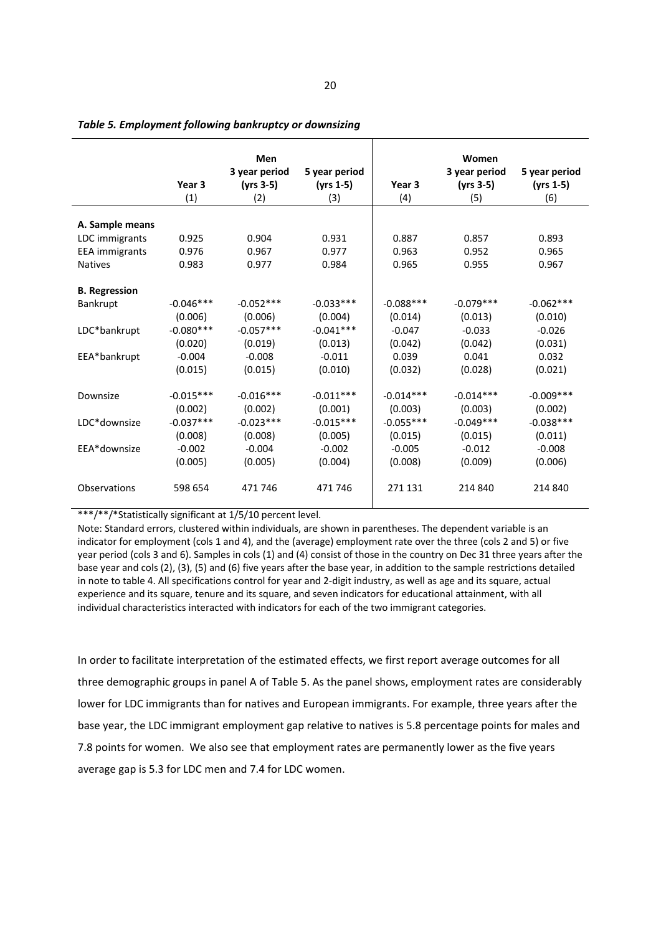|                       |                   | Men           |               |             | Women         |               |
|-----------------------|-------------------|---------------|---------------|-------------|---------------|---------------|
|                       |                   | 3 year period | 5 year period |             | 3 year period | 5 year period |
|                       | Year <sub>3</sub> | $(yrs 3-5)$   | $(yrs 1-5)$   | Year 3      | (yrs 3-5)     | $(yrs 1-5)$   |
|                       | (1)               | (2)           | (3)           | (4)         | (5)           | (6)           |
|                       |                   |               |               |             |               |               |
| A. Sample means       |                   |               |               |             |               |               |
| LDC immigrants        | 0.925             | 0.904         | 0.931         | 0.887       | 0.857         | 0.893         |
| <b>EEA</b> immigrants | 0.976             | 0.967         | 0.977         | 0.963       | 0.952         | 0.965         |
| <b>Natives</b>        | 0.983             | 0.977         | 0.984         | 0.965       | 0.955         | 0.967         |
|                       |                   |               |               |             |               |               |
| <b>B.</b> Regression  |                   |               |               |             |               |               |
| Bankrupt              | $-0.046***$       | $-0.052***$   | $-0.033***$   | $-0.088***$ | $-0.079***$   | $-0.062***$   |
|                       | (0.006)           | (0.006)       | (0.004)       | (0.014)     | (0.013)       | (0.010)       |
| LDC*bankrupt          | $-0.080***$       | $-0.057***$   | $-0.041***$   | $-0.047$    | $-0.033$      | $-0.026$      |
|                       | (0.020)           | (0.019)       | (0.013)       | (0.042)     | (0.042)       | (0.031)       |
| EEA*bankrupt          | $-0.004$          | $-0.008$      | $-0.011$      | 0.039       | 0.041         | 0.032         |
|                       | (0.015)           | (0.015)       | (0.010)       | (0.032)     | (0.028)       | (0.021)       |
|                       |                   |               |               |             |               |               |
| Downsize              | $-0.015***$       | $-0.016***$   | $-0.011***$   | $-0.014***$ | $-0.014***$   | $-0.009***$   |
|                       | (0.002)           | (0.002)       | (0.001)       | (0.003)     | (0.003)       | (0.002)       |
| LDC*downsize          | $-0.037***$       | $-0.023***$   | $-0.015***$   | $-0.055***$ | $-0.049***$   | $-0.038***$   |
|                       | (0.008)           | (0.008)       | (0.005)       | (0.015)     | (0.015)       | (0.011)       |
| EEA*downsize          | $-0.002$          | $-0.004$      | $-0.002$      | $-0.005$    | $-0.012$      | $-0.008$      |
|                       | (0.005)           | (0.005)       | (0.004)       | (0.008)     | (0.009)       | (0.006)       |
|                       |                   |               |               |             |               |               |
| Observations          | 598 654           | 471 746       | 471 746       | 271 131     | 214 840       | 214 840       |
|                       |                   |               |               |             |               |               |

*Table 5. Employment following bankruptcy or downsizing*

\*\*\*/\*\*/\*Statistically significant at 1/5/10 percent level.

Note: Standard errors, clustered within individuals, are shown in parentheses. The dependent variable is an indicator for employment (cols 1 and 4), and the (average) employment rate over the three (cols 2 and 5) or five year period (cols 3 and 6). Samples in cols (1) and (4) consist of those in the country on Dec 31 three years after the base year and cols (2), (3), (5) and (6) five years after the base year, in addition to the sample restrictions detailed in note to table 4. All specifications control for year and 2‐digit industry, as well as age and its square, actual experience and its square, tenure and its square, and seven indicators for educational attainment, with all individual characteristics interacted with indicators for each of the two immigrant categories.

In order to facilitate interpretation of the estimated effects, we first report average outcomes for all three demographic groups in panel A of Table 5. As the panel shows, employment rates are considerably lower for LDC immigrants than for natives and European immigrants. For example, three years after the base year, the LDC immigrant employment gap relative to natives is 5.8 percentage points for males and 7.8 points for women. We also see that employment rates are permanently lower as the five years average gap is 5.3 for LDC men and 7.4 for LDC women.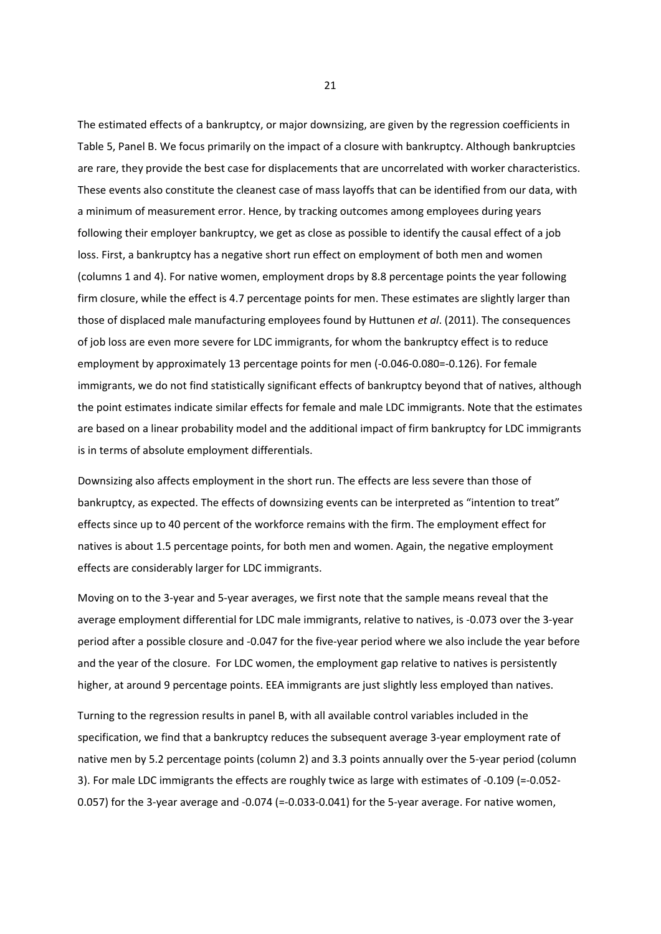The estimated effects of a bankruptcy, or major downsizing, are given by the regression coefficients in Table 5, Panel B. We focus primarily on the impact of a closure with bankruptcy. Although bankruptcies are rare, they provide the best case for displacements that are uncorrelated with worker characteristics. These events also constitute the cleanest case of mass layoffs that can be identified from our data, with a minimum of measurement error. Hence, by tracking outcomes among employees during years following their employer bankruptcy, we get as close as possible to identify the causal effect of a job loss. First, a bankruptcy has a negative short run effect on employment of both men and women (columns 1 and 4). For native women, employment drops by 8.8 percentage points the year following firm closure, while the effect is 4.7 percentage points for men. These estimates are slightly larger than those of displaced male manufacturing employees found by Huttunen *et al*. (2011). The consequences of job loss are even more severe for LDC immigrants, for whom the bankruptcy effect is to reduce employment by approximately 13 percentage points for men (‐0.046‐0.080=‐0.126). For female immigrants, we do not find statistically significant effects of bankruptcy beyond that of natives, although the point estimates indicate similar effects for female and male LDC immigrants. Note that the estimates are based on a linear probability model and the additional impact of firm bankruptcy for LDC immigrants is in terms of absolute employment differentials.

Downsizing also affects employment in the short run. The effects are less severe than those of bankruptcy, as expected. The effects of downsizing events can be interpreted as "intention to treat" effects since up to 40 percent of the workforce remains with the firm. The employment effect for natives is about 1.5 percentage points, for both men and women. Again, the negative employment effects are considerably larger for LDC immigrants.

Moving on to the 3‐year and 5‐year averages, we first note that the sample means reveal that the average employment differential for LDC male immigrants, relative to natives, is ‐0.073 over the 3‐year period after a possible closure and ‐0.047 for the five‐year period where we also include the year before and the year of the closure. For LDC women, the employment gap relative to natives is persistently higher, at around 9 percentage points. EEA immigrants are just slightly less employed than natives.

Turning to the regression results in panel B, with all available control variables included in the specification, we find that a bankruptcy reduces the subsequent average 3‐year employment rate of native men by 5.2 percentage points (column 2) and 3.3 points annually over the 5‐year period (column 3). For male LDC immigrants the effects are roughly twice as large with estimates of ‐0.109 (=‐0.052‐ 0.057) for the 3-year average and -0.074 (=-0.033-0.041) for the 5-year average. For native women,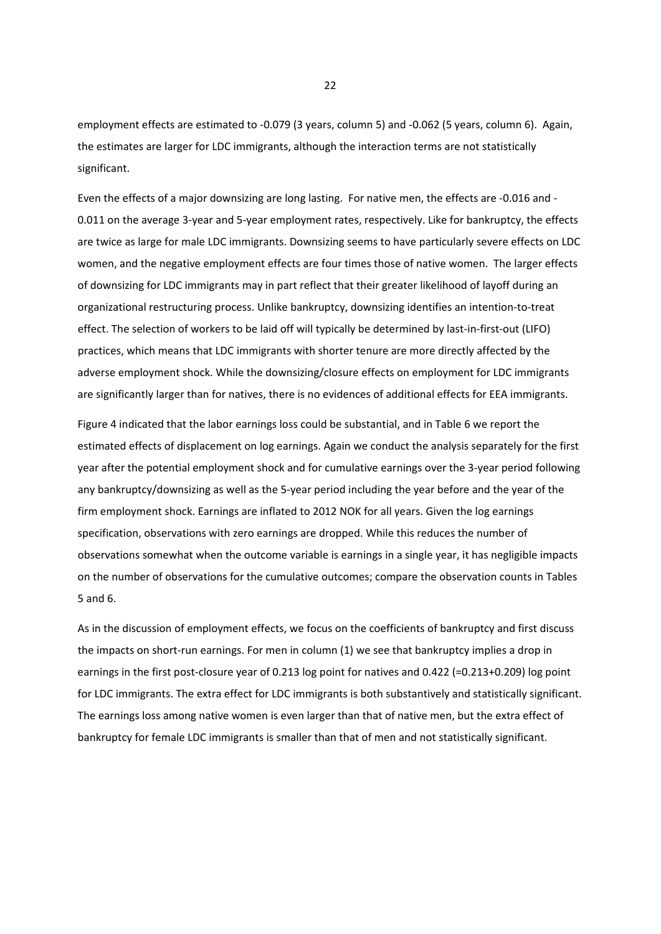employment effects are estimated to -0.079 (3 years, column 5) and -0.062 (5 years, column 6). Again, the estimates are larger for LDC immigrants, although the interaction terms are not statistically significant.

Even the effects of a major downsizing are long lasting. For native men, the effects are ‐0.016 and ‐ 0.011 on the average 3‐year and 5‐year employment rates, respectively. Like for bankruptcy, the effects are twice as large for male LDC immigrants. Downsizing seems to have particularly severe effects on LDC women, and the negative employment effects are four times those of native women. The larger effects of downsizing for LDC immigrants may in part reflect that their greater likelihood of layoff during an organizational restructuring process. Unlike bankruptcy, downsizing identifies an intention‐to‐treat effect. The selection of workers to be laid off will typically be determined by last-in-first-out (LIFO) practices, which means that LDC immigrants with shorter tenure are more directly affected by the adverse employment shock. While the downsizing/closure effects on employment for LDC immigrants are significantly larger than for natives, there is no evidences of additional effects for EEA immigrants.

Figure 4 indicated that the labor earnings loss could be substantial, and in Table 6 we report the estimated effects of displacement on log earnings. Again we conduct the analysis separately for the first year after the potential employment shock and for cumulative earnings over the 3‐year period following any bankruptcy/downsizing as well as the 5‐year period including the year before and the year of the firm employment shock. Earnings are inflated to 2012 NOK for all years. Given the log earnings specification, observations with zero earnings are dropped. While this reduces the number of observations somewhat when the outcome variable is earnings in a single year, it has negligible impacts on the number of observations for the cumulative outcomes; compare the observation counts in Tables 5 and 6.

As in the discussion of employment effects, we focus on the coefficients of bankruptcy and first discuss the impacts on short-run earnings. For men in column (1) we see that bankruptcy implies a drop in earnings in the first post-closure year of 0.213 log point for natives and 0.422 (=0.213+0.209) log point for LDC immigrants. The extra effect for LDC immigrants is both substantively and statistically significant. The earnings loss among native women is even larger than that of native men, but the extra effect of bankruptcy for female LDC immigrants is smaller than that of men and not statistically significant.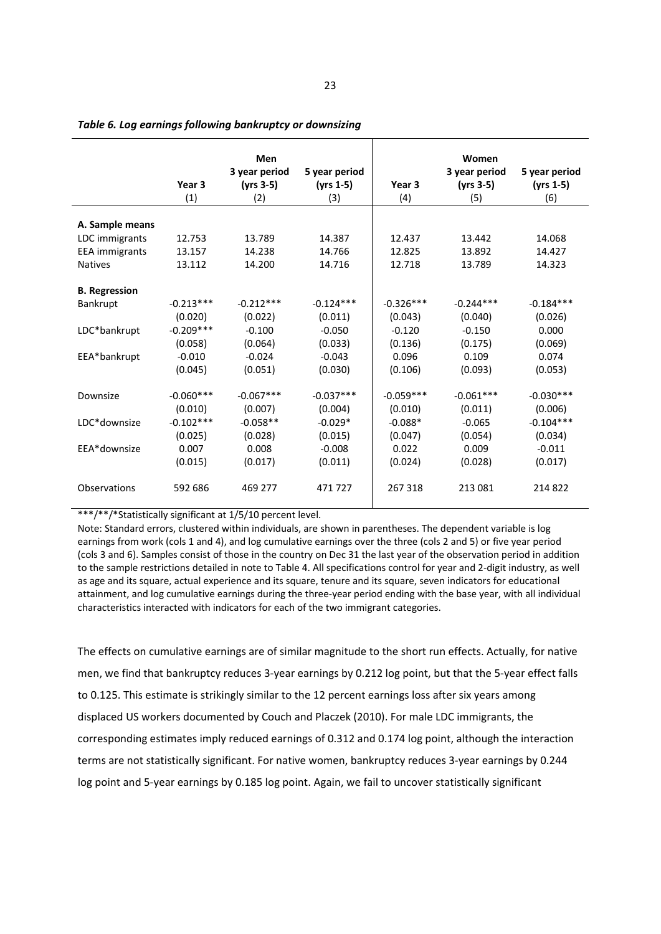|                       |                   | Men           |               |             | Women         |               |
|-----------------------|-------------------|---------------|---------------|-------------|---------------|---------------|
|                       |                   | 3 year period | 5 year period |             | 3 year period | 5 year period |
|                       | Year <sub>3</sub> | $(yrs 3-5)$   | $(yrs 1-5)$   | Year 3      | $(yrs 3-5)$   | $(yrs 1-5)$   |
|                       | (1)               | (2)           | (3)           | (4)         | (5)           | (6)           |
|                       |                   |               |               |             |               |               |
| A. Sample means       |                   |               |               |             |               |               |
| LDC immigrants        | 12.753            | 13.789        | 14.387        | 12.437      | 13.442        | 14.068        |
| <b>EEA</b> immigrants | 13.157            | 14.238        | 14.766        | 12.825      | 13.892        | 14.427        |
| <b>Natives</b>        | 13.112            | 14.200        | 14.716        | 12.718      | 13.789        | 14.323        |
|                       |                   |               |               |             |               |               |
| <b>B.</b> Regression  |                   |               |               |             |               |               |
| Bankrupt              | $-0.213***$       | $-0.212***$   | $-0.124***$   | $-0.326***$ | $-0.244***$   | $-0.184***$   |
|                       | (0.020)           | (0.022)       | (0.011)       | (0.043)     | (0.040)       | (0.026)       |
| LDC*bankrupt          | $-0.209***$       | $-0.100$      | $-0.050$      | $-0.120$    | $-0.150$      | 0.000         |
|                       | (0.058)           | (0.064)       | (0.033)       | (0.136)     | (0.175)       | (0.069)       |
| EEA*bankrupt          | $-0.010$          | $-0.024$      | $-0.043$      | 0.096       | 0.109         | 0.074         |
|                       | (0.045)           | (0.051)       | (0.030)       | (0.106)     | (0.093)       | (0.053)       |
|                       |                   |               |               |             |               |               |
| Downsize              | $-0.060***$       | $-0.067***$   | $-0.037***$   | $-0.059***$ | $-0.061***$   | $-0.030***$   |
|                       | (0.010)           | (0.007)       | (0.004)       | (0.010)     | (0.011)       | (0.006)       |
| LDC*downsize          | $-0.102***$       | $-0.058**$    | $-0.029*$     | $-0.088*$   | $-0.065$      | $-0.104***$   |
|                       | (0.025)           | (0.028)       | (0.015)       | (0.047)     | (0.054)       | (0.034)       |
| EEA*downsize          | 0.007             | 0.008         | $-0.008$      | 0.022       | 0.009         | $-0.011$      |
|                       | (0.015)           | (0.017)       | (0.011)       | (0.024)     | (0.028)       | (0.017)       |
|                       |                   |               |               |             |               |               |
| <b>Observations</b>   | 592 686           | 469 277       | 471727        | 267 318     | 213 081       | 214822        |
|                       |                   |               |               |             |               |               |

*Table 6. Log earnings following bankruptcy or downsizing*

\*\*\*/\*\*/\*Statistically significant at 1/5/10 percent level.

Note: Standard errors, clustered within individuals, are shown in parentheses. The dependent variable is log earnings from work (cols 1 and 4), and log cumulative earnings over the three (cols 2 and 5) or five year period (cols 3 and 6). Samples consist of those in the country on Dec 31 the last year of the observation period in addition to the sample restrictions detailed in note to Table 4. All specifications control for year and 2‐digit industry, as well as age and its square, actual experience and its square, tenure and its square, seven indicators for educational attainment, and log cumulative earnings during the three‐year period ending with the base year, with all individual characteristics interacted with indicators for each of the two immigrant categories.

The effects on cumulative earnings are of similar magnitude to the short run effects. Actually, for native men, we find that bankruptcy reduces 3‐year earnings by 0.212 log point, but that the 5‐year effect falls to 0.125. This estimate is strikingly similar to the 12 percent earnings loss after six years among displaced US workers documented by Couch and Placzek (2010). For male LDC immigrants, the corresponding estimates imply reduced earnings of 0.312 and 0.174 log point, although the interaction terms are not statistically significant. For native women, bankruptcy reduces 3‐year earnings by 0.244 log point and 5-year earnings by 0.185 log point. Again, we fail to uncover statistically significant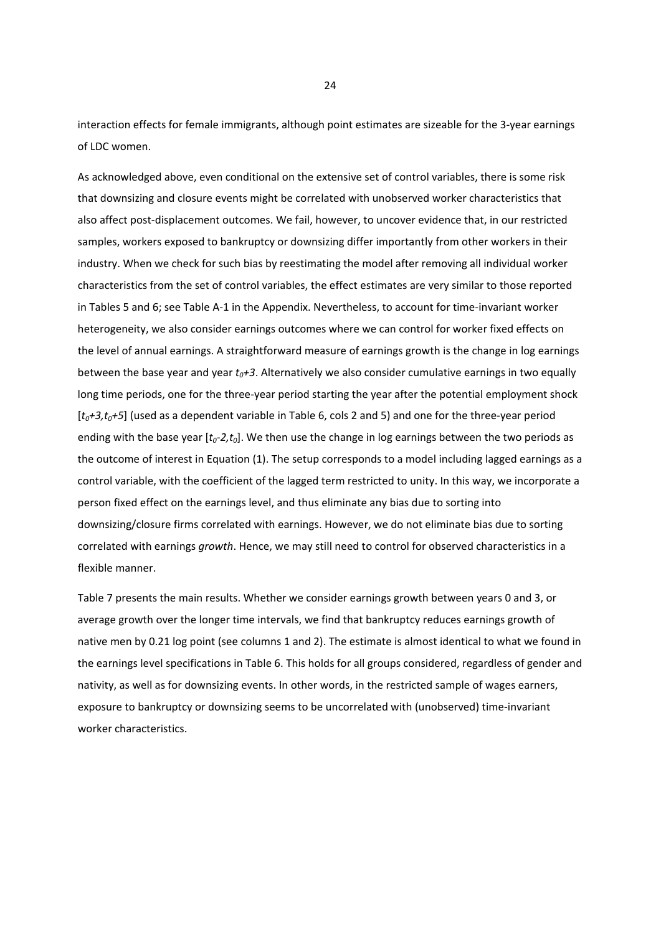interaction effects for female immigrants, although point estimates are sizeable for the 3‐year earnings of LDC women.

As acknowledged above, even conditional on the extensive set of control variables, there is some risk that downsizing and closure events might be correlated with unobserved worker characteristics that also affect post‐displacement outcomes. We fail, however, to uncover evidence that, in our restricted samples, workers exposed to bankruptcy or downsizing differ importantly from other workers in their industry. When we check for such bias by reestimating the model after removing all individual worker characteristics from the set of control variables, the effect estimates are very similar to those reported in Tables 5 and 6; see Table A‐1 in the Appendix. Nevertheless, to account for time‐invariant worker heterogeneity, we also consider earnings outcomes where we can control for worker fixed effects on the level of annual earnings. A straightforward measure of earnings growth is the change in log earnings between the base year and year  $t_0+3$ . Alternatively we also consider cumulative earnings in two equally long time periods, one for the three-year period starting the year after the potential employment shock [ $t_0+3, t_0+5$ ] (used as a dependent variable in Table 6, cols 2 and 5) and one for the three-year period ending with the base year [ $t_0$ -2, $t_0$ ]. We then use the change in log earnings between the two periods as the outcome of interest in Equation (1). The setup corresponds to a model including lagged earnings as a control variable, with the coefficient of the lagged term restricted to unity. In this way, we incorporate a person fixed effect on the earnings level, and thus eliminate any bias due to sorting into downsizing/closure firms correlated with earnings. However, we do not eliminate bias due to sorting correlated with earnings *growth*. Hence, we may still need to control for observed characteristics in a flexible manner.

Table 7 presents the main results. Whether we consider earnings growth between years 0 and 3, or average growth over the longer time intervals, we find that bankruptcy reduces earnings growth of native men by 0.21 log point (see columns 1 and 2). The estimate is almost identical to what we found in the earnings level specifications in Table 6. This holds for all groups considered, regardless of gender and nativity, as well as for downsizing events. In other words, in the restricted sample of wages earners, exposure to bankruptcy or downsizing seems to be uncorrelated with (unobserved) time‐invariant worker characteristics.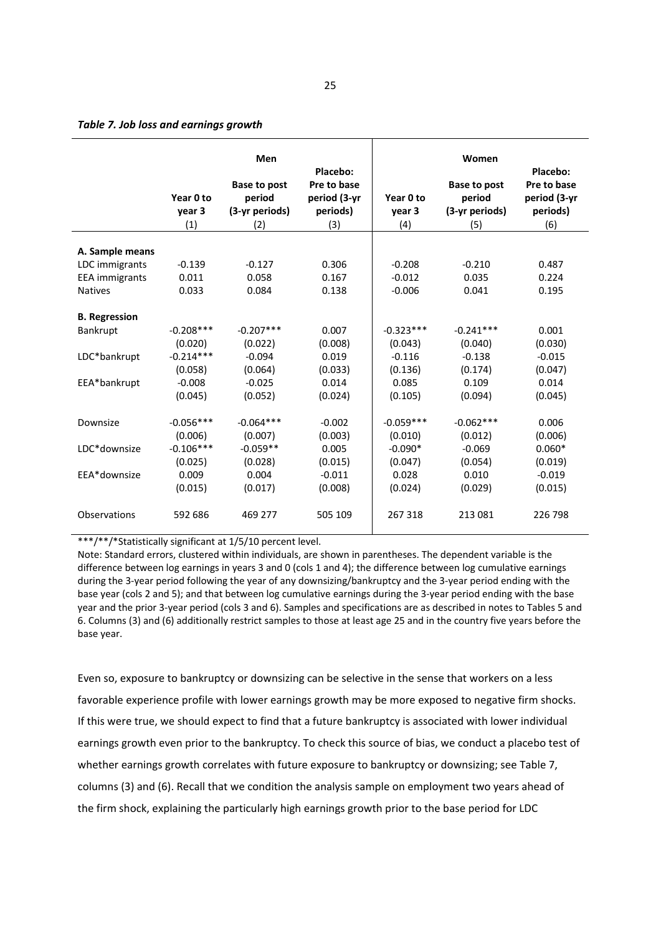#### *Table 7. Job loss and earnings growth*

|                       | Year 0 to<br>year 3<br>(1) | Men<br>Base to post<br>period<br>(3-yr periods)<br>(2) | Placebo:<br>Pre to base<br>period (3-yr<br>periods)<br>(3) | Year 0 to<br>year 3<br>(4) | Women<br>Base to post<br>period<br>(3-yr periods)<br>(5) | Placebo:<br>Pre to base<br>period (3-yr<br>periods)<br>(6) |
|-----------------------|----------------------------|--------------------------------------------------------|------------------------------------------------------------|----------------------------|----------------------------------------------------------|------------------------------------------------------------|
|                       |                            |                                                        |                                                            |                            |                                                          |                                                            |
| A. Sample means       |                            |                                                        |                                                            |                            |                                                          |                                                            |
| LDC immigrants        | $-0.139$                   | $-0.127$                                               | 0.306                                                      | $-0.208$                   | $-0.210$                                                 | 0.487                                                      |
| <b>EEA</b> immigrants | 0.011                      | 0.058                                                  | 0.167                                                      | $-0.012$                   | 0.035                                                    | 0.224                                                      |
| <b>Natives</b>        | 0.033                      | 0.084                                                  | 0.138                                                      | $-0.006$                   | 0.041                                                    | 0.195                                                      |
| <b>B.</b> Regression  |                            |                                                        |                                                            |                            |                                                          |                                                            |
| Bankrupt              | $-0.208***$                | $-0.207***$                                            | 0.007                                                      | $-0.323***$                | $-0.241***$                                              | 0.001                                                      |
|                       | (0.020)                    | (0.022)                                                | (0.008)                                                    | (0.043)                    | (0.040)                                                  | (0.030)                                                    |
| LDC*bankrupt          | $-0.214***$                | $-0.094$                                               | 0.019                                                      | $-0.116$                   | $-0.138$                                                 | $-0.015$                                                   |
|                       | (0.058)                    | (0.064)                                                | (0.033)                                                    | (0.136)                    | (0.174)                                                  | (0.047)                                                    |
| EEA*bankrupt          | $-0.008$                   | $-0.025$                                               | 0.014                                                      | 0.085                      | 0.109                                                    | 0.014                                                      |
|                       | (0.045)                    | (0.052)                                                | (0.024)                                                    | (0.105)                    | (0.094)                                                  | (0.045)                                                    |
|                       |                            |                                                        |                                                            |                            |                                                          |                                                            |
| Downsize              | $-0.056***$                | $-0.064***$                                            | $-0.002$                                                   | $-0.059***$                | $-0.062***$                                              | 0.006                                                      |
|                       | (0.006)                    | (0.007)                                                | (0.003)                                                    | (0.010)                    | (0.012)                                                  | (0.006)                                                    |
| LDC*downsize          | $-0.106***$                | $-0.059**$                                             | 0.005                                                      | $-0.090*$                  | $-0.069$                                                 | $0.060*$                                                   |
|                       | (0.025)                    | (0.028)                                                | (0.015)                                                    | (0.047)                    | (0.054)                                                  | (0.019)                                                    |
| EEA*downsize          | 0.009                      | 0.004                                                  | $-0.011$                                                   | 0.028                      | 0.010                                                    | $-0.019$                                                   |
|                       | (0.015)                    | (0.017)                                                | (0.008)                                                    | (0.024)                    | (0.029)                                                  | (0.015)                                                    |
|                       |                            |                                                        |                                                            |                            |                                                          |                                                            |
| Observations          | 592 686                    | 469 277                                                | 505 109                                                    | 267 318                    | 213 081                                                  | 226 798                                                    |
|                       |                            |                                                        |                                                            |                            |                                                          |                                                            |

\*\*\*/\*\*/\*Statistically significant at 1/5/10 percent level.

Note: Standard errors, clustered within individuals, are shown in parentheses. The dependent variable is the difference between log earnings in years 3 and 0 (cols 1 and 4); the difference between log cumulative earnings during the 3‐year period following the year of any downsizing/bankruptcy and the 3‐year period ending with the base year (cols 2 and 5); and that between log cumulative earnings during the 3‐year period ending with the base year and the prior 3‐year period (cols 3 and 6). Samples and specifications are as described in notes to Tables 5 and 6. Columns (3) and (6) additionally restrict samples to those at least age 25 and in the country five years before the base year.

Even so, exposure to bankruptcy or downsizing can be selective in the sense that workers on a less favorable experience profile with lower earnings growth may be more exposed to negative firm shocks. If this were true, we should expect to find that a future bankruptcy is associated with lower individual earnings growth even prior to the bankruptcy. To check this source of bias, we conduct a placebo test of whether earnings growth correlates with future exposure to bankruptcy or downsizing; see Table 7, columns (3) and (6). Recall that we condition the analysis sample on employment two years ahead of the firm shock, explaining the particularly high earnings growth prior to the base period for LDC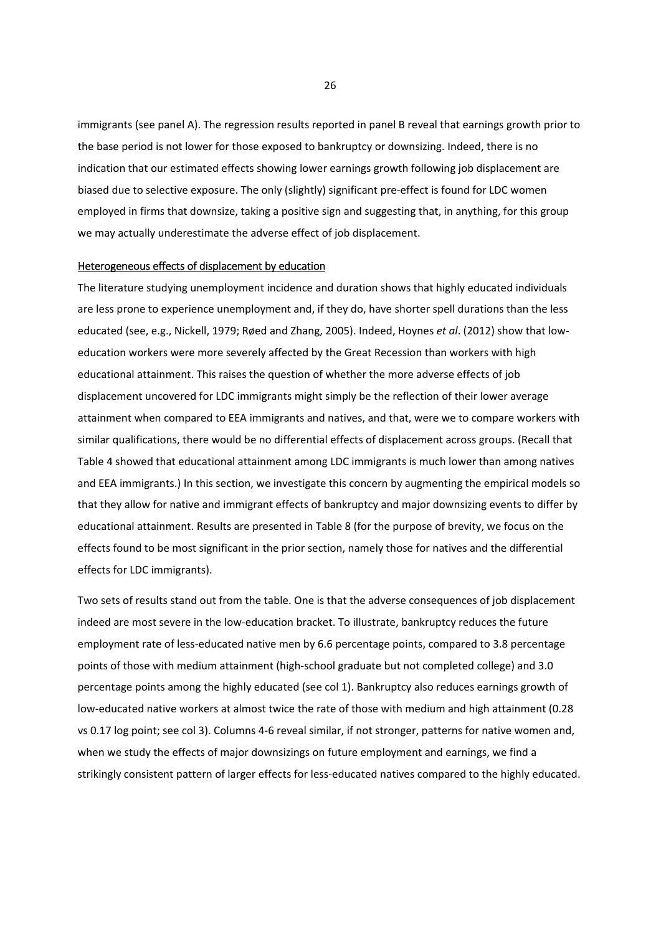immigrants (see panel A). The regression results reported in panel B reveal that earnings growth prior to the base period is not lower for those exposed to bankruptcy or downsizing. Indeed, there is no indication that our estimated effects showing lower earnings growth following job displacement are biased due to selective exposure. The only (slightly) significant pre-effect is found for LDC women employed in firms that downsize, taking a positive sign and suggesting that, in anything, for this group we may actually underestimate the adverse effect of job displacement.

#### Heterogeneous effects of displacement by education

The literature studying unemployment incidence and duration shows that highly educated individuals are less prone to experience unemployment and, if they do, have shorter spell durations than the less educated (see, e.g., Nickell, 1979; Røed and Zhang, 2005). Indeed, Hoynes *et al*. (2012) show that low‐ education workers were more severely affected by the Great Recession than workers with high educational attainment. This raises the question of whether the more adverse effects of job displacement uncovered for LDC immigrants might simply be the reflection of their lower average attainment when compared to EEA immigrants and natives, and that, were we to compare workers with similar qualifications, there would be no differential effects of displacement across groups. (Recall that Table 4 showed that educational attainment among LDC immigrants is much lower than among natives and EEA immigrants.) In this section, we investigate this concern by augmenting the empirical models so that they allow for native and immigrant effects of bankruptcy and major downsizing events to differ by educational attainment. Results are presented in Table 8 (for the purpose of brevity, we focus on the effects found to be most significant in the prior section, namely those for natives and the differential effects for LDC immigrants).

Two sets of results stand out from the table. One is that the adverse consequences of job displacement indeed are most severe in the low‐education bracket. To illustrate, bankruptcy reduces the future employment rate of less-educated native men by 6.6 percentage points, compared to 3.8 percentage points of those with medium attainment (high‐school graduate but not completed college) and 3.0 percentage points among the highly educated (see col 1). Bankruptcy also reduces earnings growth of low-educated native workers at almost twice the rate of those with medium and high attainment (0.28 vs 0.17 log point; see col 3). Columns 4‐6 reveal similar, if not stronger, patterns for native women and, when we study the effects of major downsizings on future employment and earnings, we find a strikingly consistent pattern of larger effects for less-educated natives compared to the highly educated.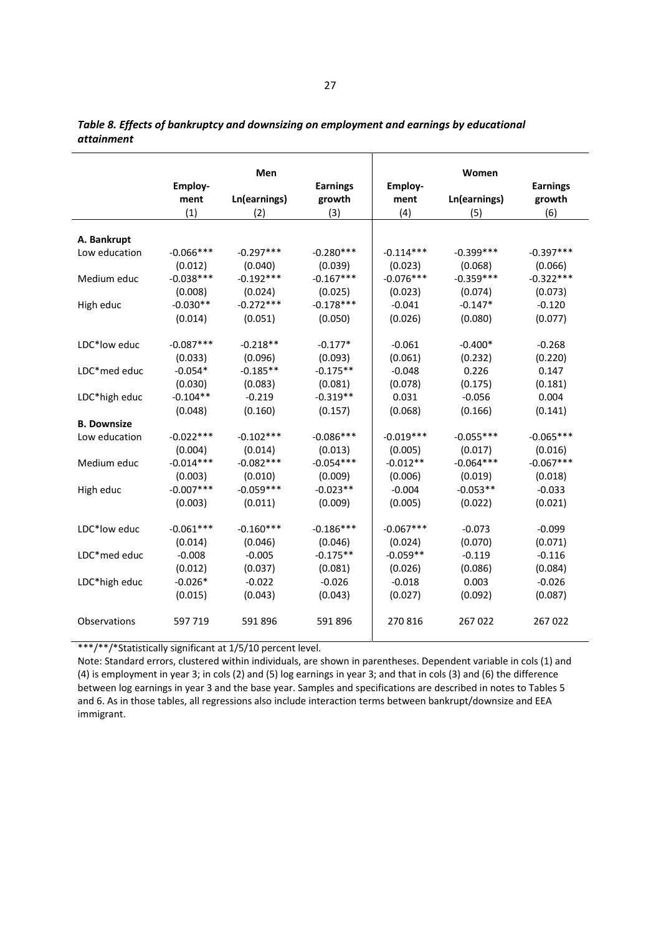|                    |              | Men          |                 |                | Women        |                 |
|--------------------|--------------|--------------|-----------------|----------------|--------------|-----------------|
|                    | Employ-      |              | <b>Earnings</b> | <b>Employ-</b> |              | <b>Earnings</b> |
|                    | ment         | Ln(earnings) | growth          | ment           | Ln(earnings) | growth          |
|                    | (1)          | (2)          | (3)             | (4)            | (5)          | (6)             |
| A. Bankrupt        |              |              |                 |                |              |                 |
| Low education      | $-0.066$ *** | $-0.297***$  | $-0.280***$     | $-0.114***$    | $-0.399***$  | $-0.397***$     |
|                    | (0.012)      | (0.040)      | (0.039)         | (0.023)        | (0.068)      | (0.066)         |
| Medium educ        | $-0.038***$  | $-0.192***$  | $-0.167***$     | $-0.076***$    | $-0.359***$  | $-0.322***$     |
|                    | (0.008)      | (0.024)      | (0.025)         | (0.023)        | (0.074)      | (0.073)         |
| High educ          | $-0.030**$   | $-0.272***$  | $-0.178***$     | $-0.041$       | $-0.147*$    | $-0.120$        |
|                    | (0.014)      | (0.051)      | (0.050)         | (0.026)        | (0.080)      | (0.077)         |
| LDC*low educ       | $-0.087***$  | $-0.218**$   | $-0.177*$       | $-0.061$       | $-0.400*$    | $-0.268$        |
|                    | (0.033)      | (0.096)      | (0.093)         | (0.061)        | (0.232)      | (0.220)         |
| LDC*med educ       | $-0.054*$    | $-0.185**$   | $-0.175**$      | $-0.048$       | 0.226        | 0.147           |
|                    | (0.030)      | (0.083)      | (0.081)         | (0.078)        | (0.175)      | (0.181)         |
| LDC*high educ      | $-0.104**$   | $-0.219$     | $-0.319**$      | 0.031          | $-0.056$     | 0.004           |
|                    | (0.048)      | (0.160)      | (0.157)         | (0.068)        | (0.166)      | (0.141)         |
| <b>B. Downsize</b> |              |              |                 |                |              |                 |
| Low education      | $-0.022***$  | $-0.102***$  | $-0.086***$     | $-0.019***$    | $-0.055***$  | $-0.065***$     |
|                    | (0.004)      | (0.014)      | (0.013)         | (0.005)        | (0.017)      | (0.016)         |
| Medium educ        | $-0.014***$  | $-0.082***$  | $-0.054***$     | $-0.012**$     | $-0.064***$  | $-0.067***$     |
|                    | (0.003)      | (0.010)      | (0.009)         | (0.006)        | (0.019)      | (0.018)         |
| High educ          | $-0.007***$  | $-0.059***$  | $-0.023**$      | $-0.004$       | $-0.053**$   | $-0.033$        |
|                    | (0.003)      | (0.011)      | (0.009)         | (0.005)        | (0.022)      | (0.021)         |
| LDC*low educ       | $-0.061***$  | $-0.160***$  | $-0.186***$     | $-0.067***$    | $-0.073$     | $-0.099$        |
|                    | (0.014)      | (0.046)      | (0.046)         | (0.024)        | (0.070)      | (0.071)         |
| LDC*med educ       | $-0.008$     | $-0.005$     | $-0.175**$      | $-0.059**$     | $-0.119$     | $-0.116$        |
|                    | (0.012)      | (0.037)      | (0.081)         | (0.026)        | (0.086)      | (0.084)         |
| LDC*high educ      | $-0.026*$    | $-0.022$     | $-0.026$        | $-0.018$       | 0.003        | $-0.026$        |
|                    | (0.015)      | (0.043)      | (0.043)         | (0.027)        | (0.092)      | (0.087)         |
| Observations       | 597 719      | 591 896      | 591 896         | 270816         | 267022       | 267022          |

*Table 8. Effects of bankruptcy and downsizing on employment and earnings by educational attainment* 

\*\*\*/\*\*/\*Statistically significant at 1/5/10 percent level.

Note: Standard errors, clustered within individuals, are shown in parentheses. Dependent variable in cols (1) and (4) is employment in year 3; in cols (2) and (5) log earnings in year 3; and that in cols (3) and (6) the difference between log earnings in year 3 and the base year. Samples and specifications are described in notes to Tables 5 and 6. As in those tables, all regressions also include interaction terms between bankrupt/downsize and EEA immigrant.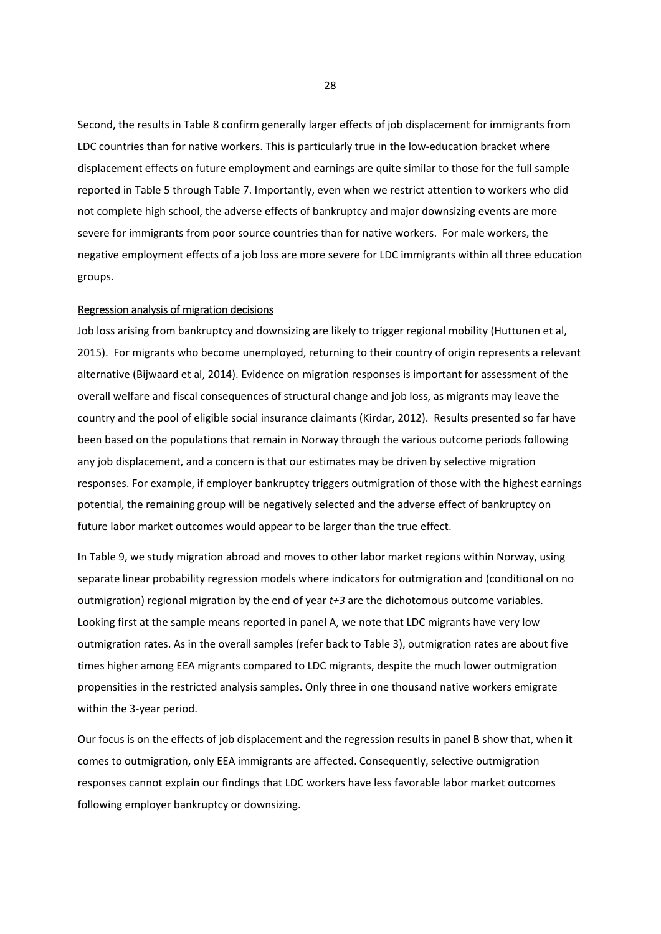Second, the results in Table 8 confirm generally larger effects of job displacement for immigrants from LDC countries than for native workers. This is particularly true in the low-education bracket where displacement effects on future employment and earnings are quite similar to those for the full sample reported in Table 5 through Table 7. Importantly, even when we restrict attention to workers who did not complete high school, the adverse effects of bankruptcy and major downsizing events are more severe for immigrants from poor source countries than for native workers. For male workers, the negative employment effects of a job loss are more severe for LDC immigrants within all three education groups.

### Regression analysis of migration decisions

Job loss arising from bankruptcy and downsizing are likely to trigger regional mobility (Huttunen et al, 2015). For migrants who become unemployed, returning to their country of origin represents a relevant alternative (Bijwaard et al, 2014). Evidence on migration responses is important for assessment of the overall welfare and fiscal consequences of structural change and job loss, as migrants may leave the country and the pool of eligible social insurance claimants (Kirdar, 2012). Results presented so far have been based on the populations that remain in Norway through the various outcome periods following any job displacement, and a concern is that our estimates may be driven by selective migration responses. For example, if employer bankruptcy triggers outmigration of those with the highest earnings potential, the remaining group will be negatively selected and the adverse effect of bankruptcy on future labor market outcomes would appear to be larger than the true effect.

In Table 9, we study migration abroad and moves to other labor market regions within Norway, using separate linear probability regression models where indicators for outmigration and (conditional on no outmigration) regional migration by the end of year *t+3* are the dichotomous outcome variables. Looking first at the sample means reported in panel A, we note that LDC migrants have very low outmigration rates. As in the overall samples (refer back to Table 3), outmigration rates are about five times higher among EEA migrants compared to LDC migrants, despite the much lower outmigration propensities in the restricted analysis samples. Only three in one thousand native workers emigrate within the 3‐year period.

Our focus is on the effects of job displacement and the regression results in panel B show that, when it comes to outmigration, only EEA immigrants are affected. Consequently, selective outmigration responses cannot explain our findings that LDC workers have less favorable labor market outcomes following employer bankruptcy or downsizing.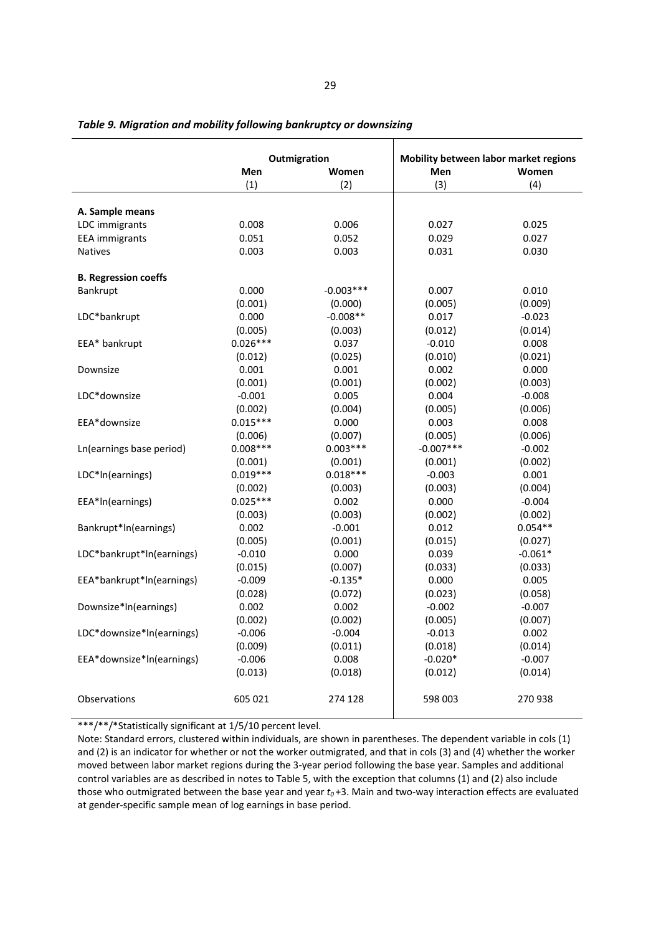|                             | Outmigration |             | Mobility between labor market regions |           |
|-----------------------------|--------------|-------------|---------------------------------------|-----------|
|                             | Men          | Women       | Men                                   | Women     |
|                             | (1)          | (2)         | (3)                                   | (4)       |
|                             |              |             |                                       |           |
| A. Sample means             |              |             |                                       |           |
| LDC immigrants              | 0.008        | 0.006       | 0.027                                 | 0.025     |
| <b>EEA</b> immigrants       | 0.051        | 0.052       | 0.029                                 | 0.027     |
| <b>Natives</b>              | 0.003        | 0.003       | 0.031                                 | 0.030     |
| <b>B. Regression coeffs</b> |              |             |                                       |           |
| Bankrupt                    | 0.000        | $-0.003***$ | 0.007                                 | 0.010     |
|                             | (0.001)      | (0.000)     | (0.005)                               | (0.009)   |
| LDC*bankrupt                | 0.000        | $-0.008**$  | 0.017                                 | $-0.023$  |
|                             | (0.005)      | (0.003)     | (0.012)                               | (0.014)   |
| EEA* bankrupt               | $0.026***$   | 0.037       | $-0.010$                              | 0.008     |
|                             | (0.012)      | (0.025)     | (0.010)                               | (0.021)   |
| Downsize                    | 0.001        | 0.001       | 0.002                                 | 0.000     |
|                             | (0.001)      | (0.001)     | (0.002)                               | (0.003)   |
| LDC*downsize                | $-0.001$     | 0.005       | 0.004                                 | $-0.008$  |
|                             | (0.002)      | (0.004)     | (0.005)                               | (0.006)   |
| EEA*downsize                | $0.015***$   | 0.000       | 0.003                                 | 0.008     |
|                             | (0.006)      | (0.007)     | (0.005)                               | (0.006)   |
| Ln(earnings base period)    | $0.008***$   | $0.003***$  | $-0.007***$                           | $-0.002$  |
|                             | (0.001)      | (0.001)     | (0.001)                               | (0.002)   |
| LDC*In(earnings)            | $0.019***$   | $0.018***$  | $-0.003$                              | 0.001     |
|                             | (0.002)      | (0.003)     | (0.003)                               | (0.004)   |
| EEA*In(earnings)            | $0.025***$   | 0.002       | 0.000                                 | $-0.004$  |
|                             | (0.003)      | (0.003)     | (0.002)                               | (0.002)   |
| Bankrupt*In(earnings)       | 0.002        | $-0.001$    | 0.012                                 | $0.054**$ |
|                             | (0.005)      | (0.001)     | (0.015)                               | (0.027)   |
| LDC*bankrupt*ln(earnings)   | $-0.010$     | 0.000       | 0.039                                 | $-0.061*$ |
|                             | (0.015)      | (0.007)     | (0.033)                               | (0.033)   |
| EEA*bankrupt*ln(earnings)   | $-0.009$     | $-0.135*$   | 0.000                                 | 0.005     |
|                             | (0.028)      | (0.072)     | (0.023)                               | (0.058)   |
| Downsize*In(earnings)       | 0.002        | 0.002       | $-0.002$                              | $-0.007$  |
|                             | (0.002)      | (0.002)     | (0.005)                               | (0.007)   |
| LDC*downsize*ln(earnings)   | $-0.006$     | $-0.004$    | $-0.013$                              | 0.002     |
|                             | (0.009)      | (0.011)     | (0.018)                               | (0.014)   |
| EEA*downsize*ln(earnings)   | $-0.006$     | 0.008       | $-0.020*$                             | $-0.007$  |
|                             | (0.013)      | (0.018)     | (0.012)                               | (0.014)   |
| Observations                | 605 021      | 274 128     | 598 003                               | 270938    |

*Table 9. Migration and mobility following bankruptcy or downsizing*

\*\*\*/\*\*/\*Statistically significant at 1/5/10 percent level.

Note: Standard errors, clustered within individuals, are shown in parentheses. The dependent variable in cols (1) and (2) is an indicator for whether or not the worker outmigrated, and that in cols (3) and (4) whether the worker moved between labor market regions during the 3‐year period following the base year. Samples and additional control variables are as described in notes to Table 5, with the exception that columns (1) and (2) also include those who outmigrated between the base year and year  $t_0$ +3. Main and two-way interaction effects are evaluated at gender‐specific sample mean of log earnings in base period.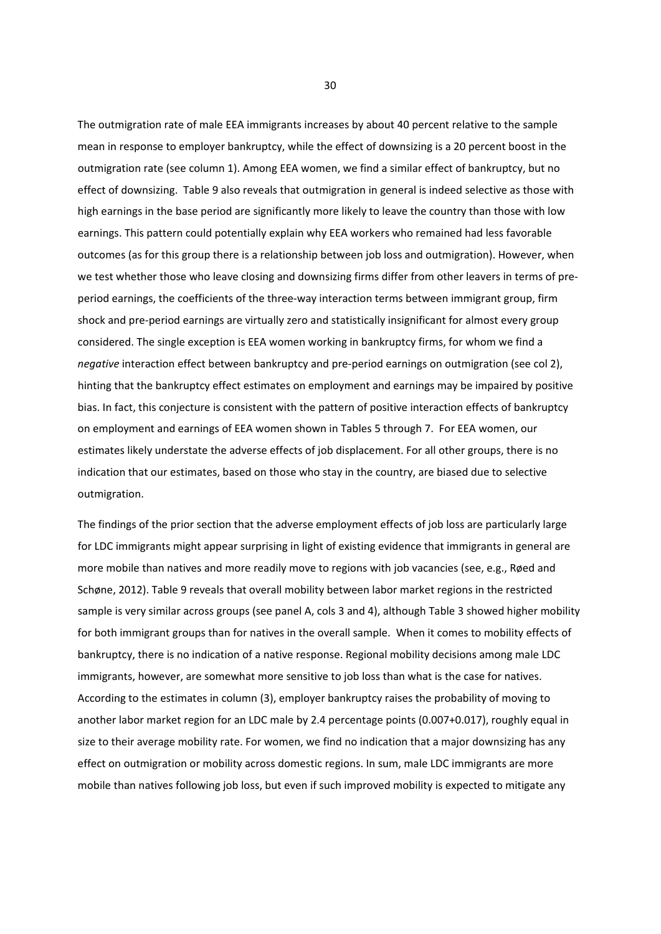The outmigration rate of male EEA immigrants increases by about 40 percent relative to the sample mean in response to employer bankruptcy, while the effect of downsizing is a 20 percent boost in the outmigration rate (see column 1). Among EEA women, we find a similar effect of bankruptcy, but no effect of downsizing. Table 9 also reveals that outmigration in general is indeed selective as those with high earnings in the base period are significantly more likely to leave the country than those with low earnings. This pattern could potentially explain why EEA workers who remained had less favorable outcomes (as for this group there is a relationship between job loss and outmigration). However, when we test whether those who leave closing and downsizing firms differ from other leavers in terms of preperiod earnings, the coefficients of the three‐way interaction terms between immigrant group, firm shock and pre‐period earnings are virtually zero and statistically insignificant for almost every group considered. The single exception is EEA women working in bankruptcy firms, for whom we find a *negative* interaction effect between bankruptcy and pre‐period earnings on outmigration (see col 2), hinting that the bankruptcy effect estimates on employment and earnings may be impaired by positive bias. In fact, this conjecture is consistent with the pattern of positive interaction effects of bankruptcy on employment and earnings of EEA women shown in Tables 5 through 7. For EEA women, our estimates likely understate the adverse effects of job displacement. For all other groups, there is no indication that our estimates, based on those who stay in the country, are biased due to selective outmigration.

The findings of the prior section that the adverse employment effects of job loss are particularly large for LDC immigrants might appear surprising in light of existing evidence that immigrants in general are more mobile than natives and more readily move to regions with job vacancies (see, e.g., Røed and Schøne, 2012). Table 9 reveals that overall mobility between labor market regions in the restricted sample is very similar across groups (see panel A, cols 3 and 4), although Table 3 showed higher mobility for both immigrant groups than for natives in the overall sample. When it comes to mobility effects of bankruptcy, there is no indication of a native response. Regional mobility decisions among male LDC immigrants, however, are somewhat more sensitive to job loss than what is the case for natives. According to the estimates in column (3), employer bankruptcy raises the probability of moving to another labor market region for an LDC male by 2.4 percentage points (0.007+0.017), roughly equal in size to their average mobility rate. For women, we find no indication that a major downsizing has any effect on outmigration or mobility across domestic regions. In sum, male LDC immigrants are more mobile than natives following job loss, but even if such improved mobility is expected to mitigate any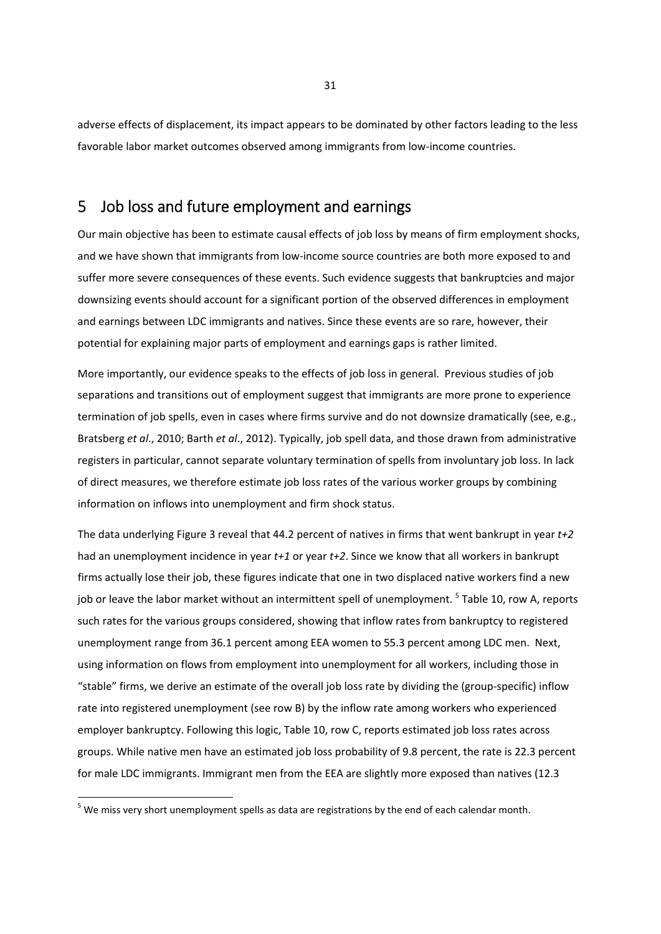adverse effects of displacement, its impact appears to be dominated by other factors leading to the less favorable labor market outcomes observed among immigrants from low-income countries.

## 5 Job loss and future employment and earnings

Our main objective has been to estimate causal effects of job loss by means of firm employment shocks, and we have shown that immigrants from low-income source countries are both more exposed to and suffer more severe consequences of these events. Such evidence suggests that bankruptcies and major downsizing events should account for a significant portion of the observed differences in employment and earnings between LDC immigrants and natives. Since these events are so rare, however, their potential for explaining major parts of employment and earnings gaps is rather limited.

More importantly, our evidence speaks to the effects of job loss in general. Previous studies of job separations and transitions out of employment suggest that immigrants are more prone to experience termination of job spells, even in cases where firms survive and do not downsize dramatically (see, e.g., Bratsberg *et al*., 2010; Barth *et al*., 2012). Typically, job spell data, and those drawn from administrative registers in particular, cannot separate voluntary termination of spells from involuntary job loss. In lack of direct measures, we therefore estimate job loss rates of the various worker groups by combining information on inflows into unemployment and firm shock status.

The data underlying Figure 3 reveal that 44.2 percent of natives in firms that went bankrupt in year *t+2* had an unemployment incidence in year *t+1* or year *t+2*. Since we know that all workers in bankrupt firms actually lose their job, these figures indicate that one in two displaced native workers find a new job or leave the labor market without an intermittent spell of unemployment. <sup>5</sup> Table 10, row A, reports such rates for the various groups considered, showing that inflow rates from bankruptcy to registered unemployment range from 36.1 percent among EEA women to 55.3 percent among LDC men. Next, using information on flows from employment into unemployment for all workers, including those in "stable" firms, we derive an estimate of the overall job loss rate by dividing the (group‐specific) inflow rate into registered unemployment (see row B) by the inflow rate among workers who experienced employer bankruptcy. Following this logic, Table 10, row C, reports estimated job loss rates across groups. While native men have an estimated job loss probability of 9.8 percent, the rate is 22.3 percent for male LDC immigrants. Immigrant men from the EEA are slightly more exposed than natives (12.3

 $<sup>5</sup>$  We miss very short unemployment spells as data are registrations by the end of each calendar month.</sup>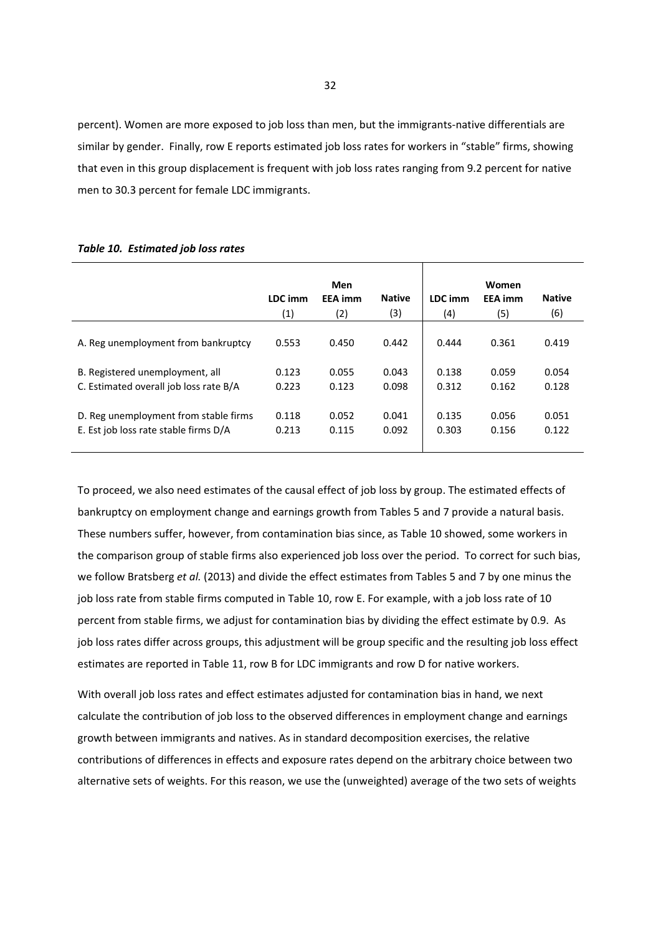percent). Women are more exposed to job loss than men, but the immigrants-native differentials are similar by gender. Finally, row E reports estimated job loss rates for workers in "stable" firms, showing that even in this group displacement is frequent with job loss rates ranging from 9.2 percent for native men to 30.3 percent for female LDC immigrants.

#### *Table 10. Estimated job loss rates*

|                                        |         | Men            |               |         | Women          |               |
|----------------------------------------|---------|----------------|---------------|---------|----------------|---------------|
|                                        | LDC imm | <b>EEA</b> imm | <b>Native</b> | LDC imm | <b>EEA</b> imm | <b>Native</b> |
|                                        | (1)     | (2)            | (3)           | (4)     | (5)            | (6)           |
|                                        |         |                |               |         |                |               |
| A. Reg unemployment from bankruptcy    | 0.553   | 0.450          | 0.442         | 0.444   | 0.361          | 0.419         |
|                                        |         |                |               |         |                |               |
| B. Registered unemployment, all        | 0.123   | 0.055          | 0.043         | 0.138   | 0.059          | 0.054         |
| C. Estimated overall job loss rate B/A | 0.223   | 0.123          | 0.098         | 0.312   | 0.162          | 0.128         |
|                                        |         |                |               |         |                |               |
| D. Reg unemployment from stable firms  | 0.118   | 0.052          | 0.041         | 0.135   | 0.056          | 0.051         |
| E. Est job loss rate stable firms D/A  | 0.213   | 0.115          | 0.092         | 0.303   | 0.156          | 0.122         |
|                                        |         |                |               |         |                |               |

To proceed, we also need estimates of the causal effect of job loss by group. The estimated effects of bankruptcy on employment change and earnings growth from Tables 5 and 7 provide a natural basis. These numbers suffer, however, from contamination bias since, as Table 10 showed, some workers in the comparison group of stable firms also experienced job loss over the period. To correct for such bias, we follow Bratsberg *et al.* (2013) and divide the effect estimates from Tables 5 and 7 by one minus the job loss rate from stable firms computed in Table 10, row E. For example, with a job loss rate of 10 percent from stable firms, we adjust for contamination bias by dividing the effect estimate by 0.9. As job loss rates differ across groups, this adjustment will be group specific and the resulting job loss effect estimates are reported in Table 11, row B for LDC immigrants and row D for native workers.

With overall job loss rates and effect estimates adjusted for contamination bias in hand, we next calculate the contribution of job loss to the observed differences in employment change and earnings growth between immigrants and natives. As in standard decomposition exercises, the relative contributions of differences in effects and exposure rates depend on the arbitrary choice between two alternative sets of weights. For this reason, we use the (unweighted) average of the two sets of weights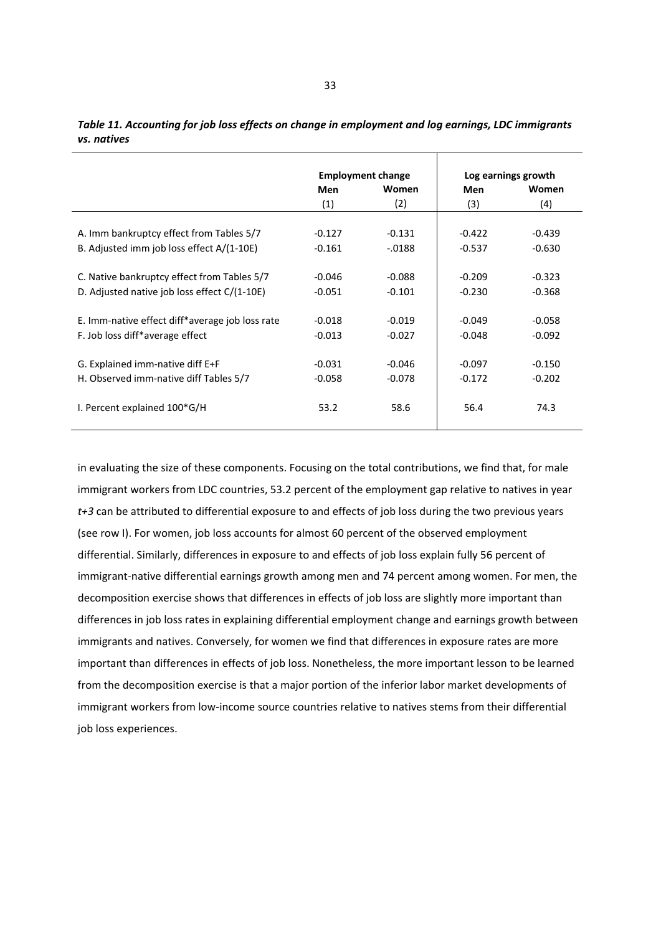|                                                 |          | <b>Employment change</b> |          | Log earnings growth |
|-------------------------------------------------|----------|--------------------------|----------|---------------------|
|                                                 | Men      | <b>Women</b>             | Men      | Women               |
|                                                 | (1)      | (2)                      | (3)      | (4)                 |
|                                                 |          |                          |          |                     |
| A. Imm bankruptcy effect from Tables 5/7        | $-0.127$ | $-0.131$                 | $-0.422$ | $-0.439$            |
| B. Adjusted imm job loss effect A/(1-10E)       | $-0.161$ | $-.0188$                 | $-0.537$ | $-0.630$            |
|                                                 |          |                          |          |                     |
| C. Native bankruptcy effect from Tables 5/7     | $-0.046$ | $-0.088$                 | $-0.209$ | $-0.323$            |
| D. Adjusted native job loss effect C/(1-10E)    | $-0.051$ | $-0.101$                 | $-0.230$ | $-0.368$            |
| E. Imm-native effect diff*average job loss rate | $-0.018$ | $-0.019$                 | $-0.049$ | $-0.058$            |
| F. Job loss diff*average effect                 | $-0.013$ | $-0.027$                 | $-0.048$ | $-0.092$            |
|                                                 |          |                          |          |                     |
| G. Explained imm-native diff E+F                | $-0.031$ | $-0.046$                 | $-0.097$ | $-0.150$            |
| H. Observed imm-native diff Tables 5/7          | $-0.058$ | $-0.078$                 | $-0.172$ | $-0.202$            |
| I. Percent explained 100*G/H                    | 53.2     | 58.6                     | 56.4     | 74.3                |
|                                                 |          |                          |          |                     |

| Table 11. Accounting for job loss effects on change in employment and log earnings, LDC immigrants |  |
|----------------------------------------------------------------------------------------------------|--|
| vs. natives                                                                                        |  |

in evaluating the size of these components. Focusing on the total contributions, we find that, for male immigrant workers from LDC countries, 53.2 percent of the employment gap relative to natives in year *t+3* can be attributed to differential exposure to and effects of job loss during the two previous years (see row I). For women, job loss accounts for almost 60 percent of the observed employment differential. Similarly, differences in exposure to and effects of job loss explain fully 56 percent of immigrant-native differential earnings growth among men and 74 percent among women. For men, the decomposition exercise shows that differences in effects of job loss are slightly more important than differences in job loss rates in explaining differential employment change and earnings growth between immigrants and natives. Conversely, for women we find that differences in exposure rates are more important than differences in effects of job loss. Nonetheless, the more important lesson to be learned from the decomposition exercise is that a major portion of the inferior labor market developments of immigrant workers from low-income source countries relative to natives stems from their differential job loss experiences.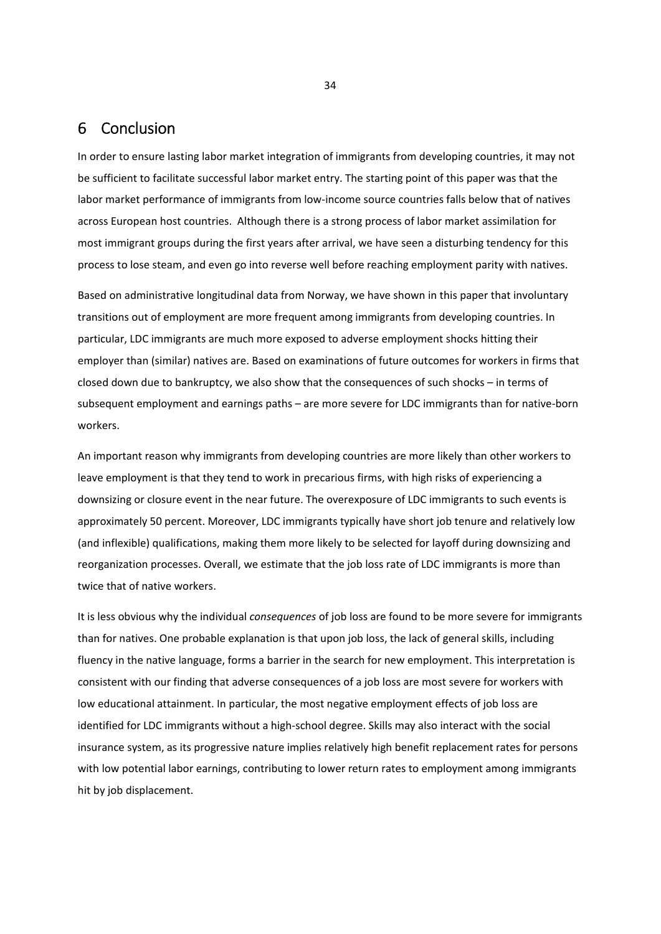## 6 Conclusion

In order to ensure lasting labor market integration of immigrants from developing countries, it may not be sufficient to facilitate successful labor market entry. The starting point of this paper was that the labor market performance of immigrants from low-income source countries falls below that of natives across European host countries. Although there is a strong process of labor market assimilation for most immigrant groups during the first years after arrival, we have seen a disturbing tendency for this process to lose steam, and even go into reverse well before reaching employment parity with natives.

Based on administrative longitudinal data from Norway, we have shown in this paper that involuntary transitions out of employment are more frequent among immigrants from developing countries. In particular, LDC immigrants are much more exposed to adverse employment shocks hitting their employer than (similar) natives are. Based on examinations of future outcomes for workers in firms that closed down due to bankruptcy, we also show that the consequences of such shocks – in terms of subsequent employment and earnings paths – are more severe for LDC immigrants than for native‐born workers.

An important reason why immigrants from developing countries are more likely than other workers to leave employment is that they tend to work in precarious firms, with high risks of experiencing a downsizing or closure event in the near future. The overexposure of LDC immigrants to such events is approximately 50 percent. Moreover, LDC immigrants typically have short job tenure and relatively low (and inflexible) qualifications, making them more likely to be selected for layoff during downsizing and reorganization processes. Overall, we estimate that the job loss rate of LDC immigrants is more than twice that of native workers.

It is less obvious why the individual *consequences* of job loss are found to be more severe for immigrants than for natives. One probable explanation is that upon job loss, the lack of general skills, including fluency in the native language, forms a barrier in the search for new employment. This interpretation is consistent with our finding that adverse consequences of a job loss are most severe for workers with low educational attainment. In particular, the most negative employment effects of job loss are identified for LDC immigrants without a high‐school degree. Skills may also interact with the social insurance system, as its progressive nature implies relatively high benefit replacement rates for persons with low potential labor earnings, contributing to lower return rates to employment among immigrants hit by job displacement.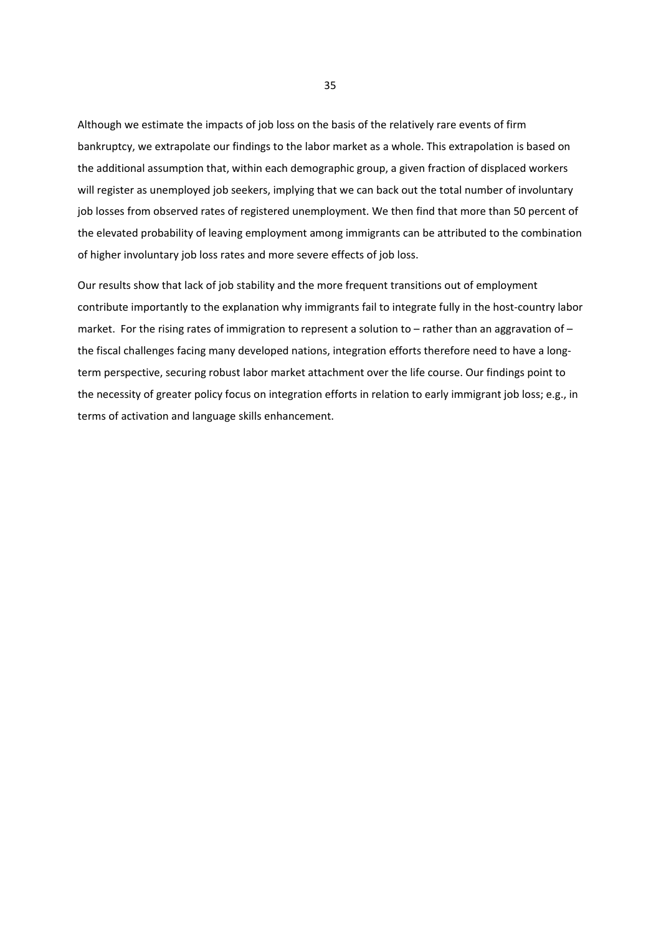Although we estimate the impacts of job loss on the basis of the relatively rare events of firm bankruptcy, we extrapolate our findings to the labor market as a whole. This extrapolation is based on the additional assumption that, within each demographic group, a given fraction of displaced workers will register as unemployed job seekers, implying that we can back out the total number of involuntary job losses from observed rates of registered unemployment. We then find that more than 50 percent of the elevated probability of leaving employment among immigrants can be attributed to the combination of higher involuntary job loss rates and more severe effects of job loss.

Our results show that lack of job stability and the more frequent transitions out of employment contribute importantly to the explanation why immigrants fail to integrate fully in the host-country labor market. For the rising rates of immigration to represent a solution to – rather than an aggravation of – the fiscal challenges facing many developed nations, integration efforts therefore need to have a longterm perspective, securing robust labor market attachment over the life course. Our findings point to the necessity of greater policy focus on integration efforts in relation to early immigrant job loss; e.g., in terms of activation and language skills enhancement.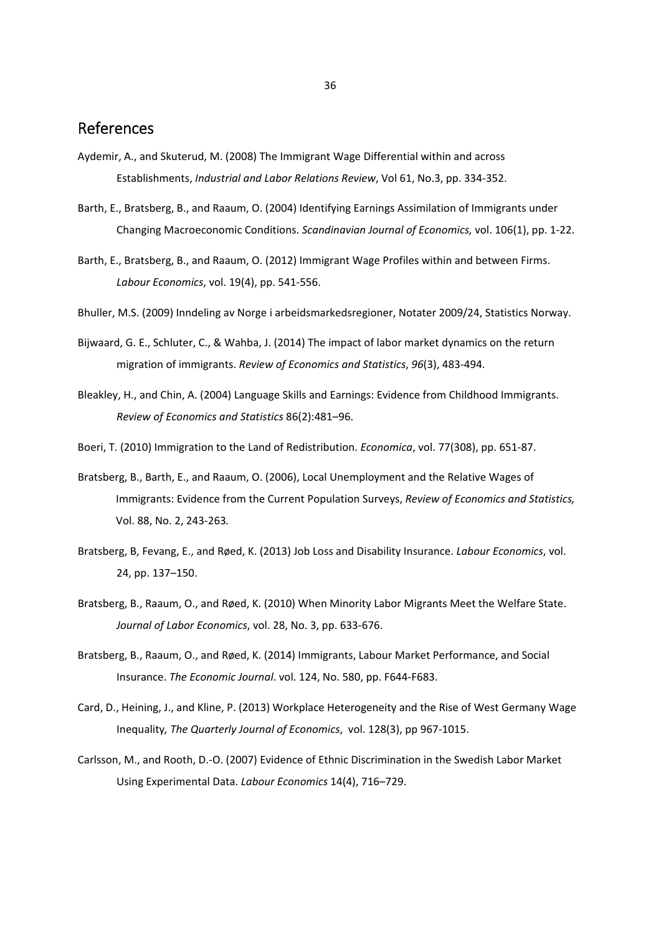## References

- Aydemir, A., and Skuterud, M. (2008) The Immigrant Wage Differential within and across Establishments, *Industrial and Labor Relations Review*, Vol 61, No.3, pp. 334‐352.
- Barth, E., Bratsberg, B., and Raaum, O. (2004) Identifying Earnings Assimilation of Immigrants under Changing Macroeconomic Conditions. *Scandinavian Journal of Economics,* vol. 106(1), pp. 1‐22.
- Barth, E., Bratsberg, B., and Raaum, O. (2012) Immigrant Wage Profiles within and between Firms. *Labour Economics*, vol. 19(4), pp. 541‐556.
- Bhuller, M.S. (2009) Inndeling av Norge i arbeidsmarkedsregioner, Notater 2009/24, Statistics Norway.
- Bijwaard, G. E., Schluter, C., & Wahba, J. (2014) The impact of labor market dynamics on the return migration of immigrants. *Review of Economics and Statistics*, *96*(3), 483‐494.
- Bleakley, H., and Chin, A. (2004) Language Skills and Earnings: Evidence from Childhood Immigrants. *Review of Economics and Statistics* 86(2):481–96.
- Boeri, T. (2010) Immigration to the Land of Redistribution. *Economica*, vol. 77(308), pp. 651‐87.
- Bratsberg, B., Barth, E., and Raaum, O. (2006), Local Unemployment and the Relative Wages of Immigrants: Evidence from the Current Population Surveys, *Review of Economics and Statistics,* Vol. 88, No. 2, 243‐263*.*
- Bratsberg, B, Fevang, E., and Røed, K. (2013) Job Loss and Disability Insurance. *Labour Economics*, vol. 24, pp. 137–150.
- Bratsberg, B., Raaum, O., and Røed, K. (2010) When Minority Labor Migrants Meet the Welfare State. *Journal of Labor Economics*, vol. 28, No. 3, pp. 633‐676.
- Bratsberg, B., Raaum, O., and Røed, K. (2014) Immigrants, Labour Market Performance, and Social Insurance. *The Economic Journal*. vol. 124, No. 580, pp. F644‐F683.
- Card, D., Heining, J., and Kline, P. (2013) Workplace Heterogeneity and the Rise of West Germany Wage Inequality*, The Quarterly Journal of Economics*, vol. 128(3), pp 967‐1015.
- Carlsson, M., and Rooth, D.‐O. (2007) Evidence of Ethnic Discrimination in the Swedish Labor Market Using Experimental Data. *Labour Economics* 14(4), 716–729.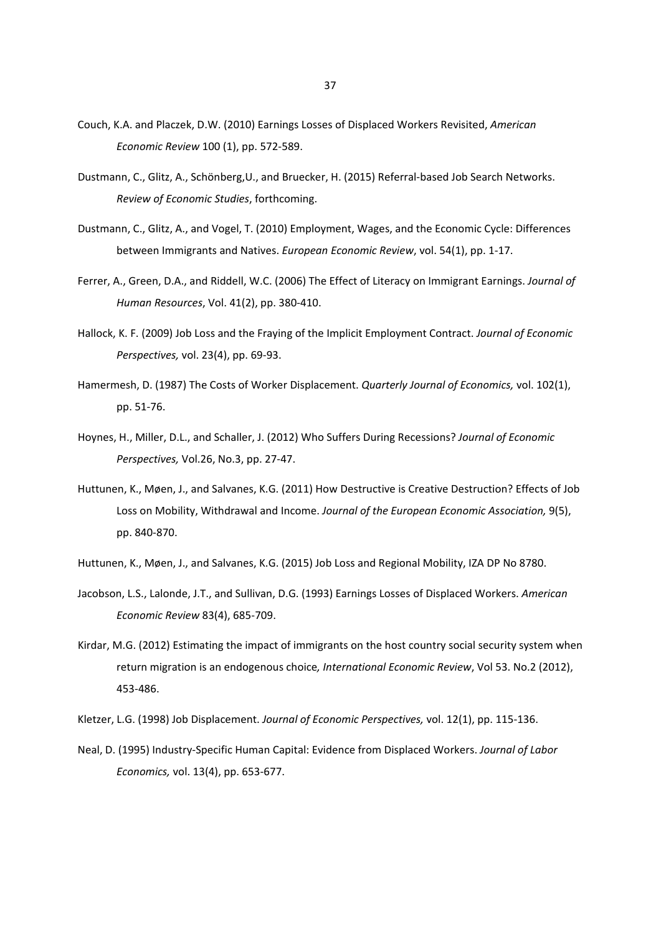- Couch, K.A. and Placzek, D.W. (2010) Earnings Losses of Displaced Workers Revisited, *American Economic Review* 100 (1), pp. 572‐589.
- Dustmann, C., Glitz, A., Schönberg,U., and Bruecker, H. (2015) Referral‐based Job Search Networks. *Review of Economic Studies*, forthcoming.
- Dustmann, C., Glitz, A., and Vogel, T. (2010) Employment, Wages, and the Economic Cycle: Differences between Immigrants and Natives. *European Economic Review*, vol. 54(1), pp. 1‐17.
- Ferrer, A., Green, D.A., and Riddell, W.C. (2006) The Effect of Literacy on Immigrant Earnings. *Journal of Human Resources*, Vol. 41(2), pp. 380‐410.
- Hallock, K. F. (2009) Job Loss and the Fraying of the Implicit Employment Contract. *Journal of Economic Perspectives,* vol. 23(4), pp. 69‐93.
- Hamermesh, D. (1987) The Costs of Worker Displacement. *Quarterly Journal of Economics,* vol. 102(1), pp. 51‐76.
- Hoynes, H., Miller, D.L., and Schaller, J. (2012) Who Suffers During Recessions? *Journal of Economic Perspectives,* Vol.26, No.3, pp. 27‐47.
- Huttunen, K., Møen, J., and Salvanes, K.G. (2011) How Destructive is Creative Destruction? Effects of Job Loss on Mobility, Withdrawal and Income. *Journal of the European Economic Association,* 9(5), pp. 840‐870.
- Huttunen, K., Møen, J., and Salvanes, K.G. (2015) Job Loss and Regional Mobility, IZA DP No 8780.
- Jacobson, L.S., Lalonde, J.T., and Sullivan, D.G. (1993) Earnings Losses of Displaced Workers. *American Economic Review* 83(4), 685‐709.
- Kirdar, M.G. (2012) Estimating the impact of immigrants on the host country social security system when return migration is an endogenous choice*, International Economic Review*, Vol 53. No.2 (2012), 453‐486.
- Kletzer, L.G. (1998) Job Displacement. *Journal of Economic Perspectives,* vol. 12(1), pp. 115‐136.
- Neal, D. (1995) Industry‐Specific Human Capital: Evidence from Displaced Workers. *Journal of Labor Economics,* vol. 13(4), pp. 653‐677.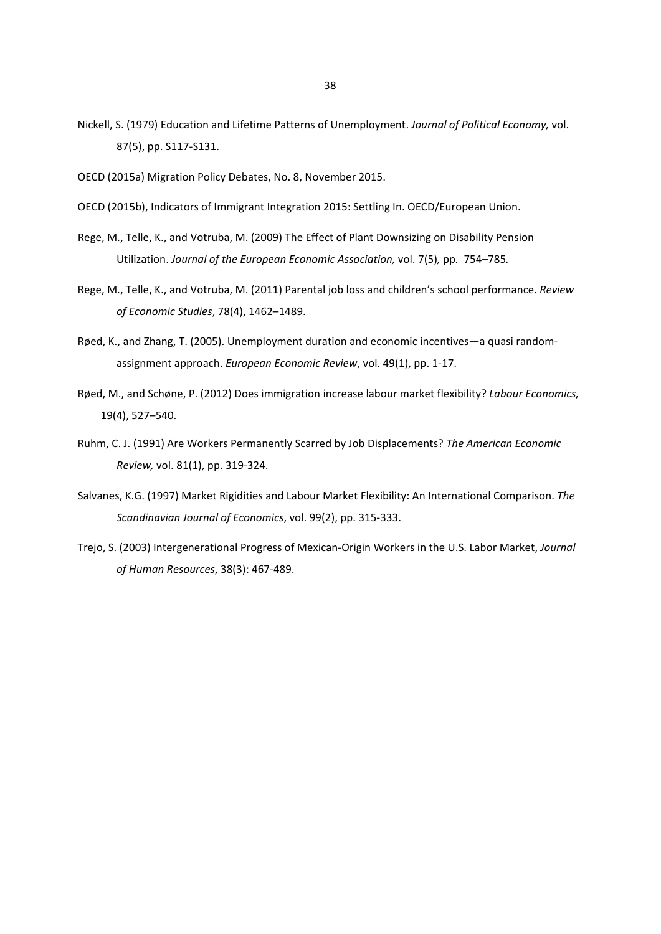- Nickell, S. (1979) Education and Lifetime Patterns of Unemployment. *Journal of Political Economy,* vol. 87(5), pp. S117‐S131.
- OECD (2015a) Migration Policy Debates, No. 8, November 2015.
- OECD (2015b), Indicators of Immigrant Integration 2015: Settling In. OECD/European Union.
- Rege, M., Telle, K., and Votruba, M. (2009) The Effect of Plant Downsizing on Disability Pension Utilization. *Journal of the European Economic Association,* vol. 7(5)*,* pp*.* 754–785*.*
- Rege, M., Telle, K., and Votruba, M. (2011) Parental job loss and children's school performance. *Review of Economic Studies*, 78(4), 1462–1489.
- Røed, K., and Zhang, T. (2005). Unemployment duration and economic incentives—a quasi random‐ assignment approach. *European Economic Review*, vol. 49(1), pp. 1‐17.
- Røed, M., and Schøne, P. (2012) Does immigration increase labour market flexibility? *Labour Economics,* 19(4), 527–540.
- Ruhm, C. J. (1991) Are Workers Permanently Scarred by Job Displacements? *The American Economic Review,* vol. 81(1), pp. 319‐324.
- Salvanes, K.G. (1997) Market Rigidities and Labour Market Flexibility: An International Comparison. *The Scandinavian Journal of Economics*, vol. 99(2), pp. 315‐333.
- Trejo, S. (2003) Intergenerational Progress of Mexican‐Origin Workers in the U.S. Labor Market, *Journal of Human Resources*, 38(3): 467‐489.